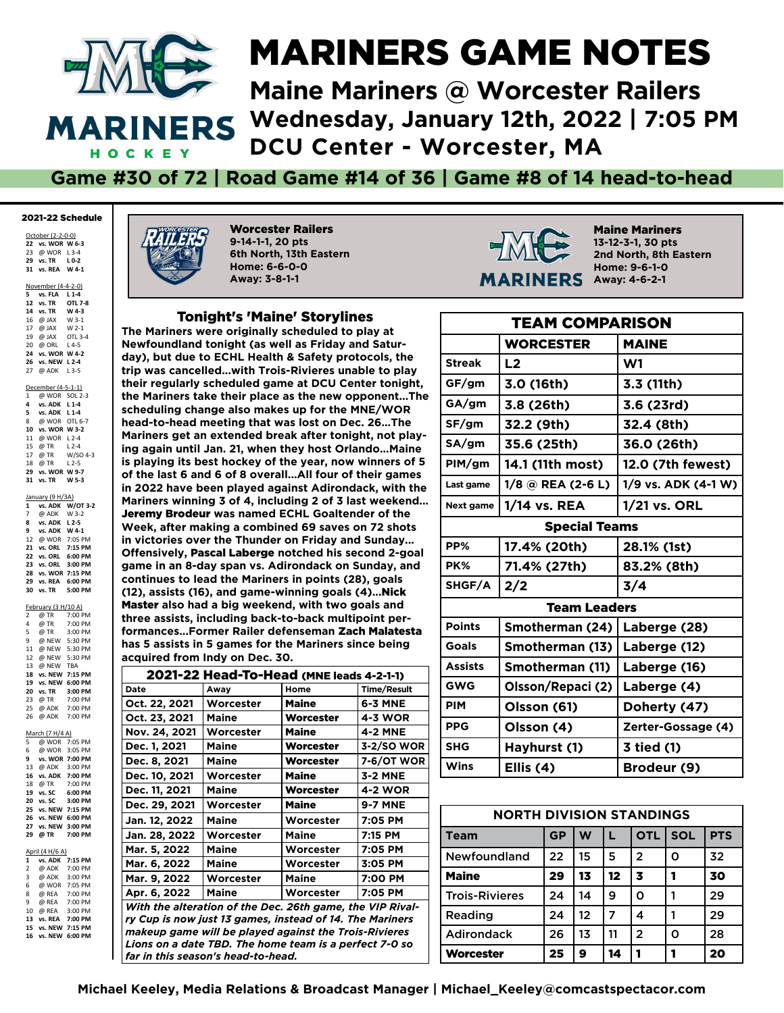

# MARINERS GAME NOTES **Maine Mariners @ Worcester RailersWednesday, January 12th, 2022 | 7:05 PM**

**MARINERS Confidence #14 MARINERS Maine Mariners @ Worcester Railer** DCU Center - Worcester, MA

# Game #30 of 72 | Road Game #14 of 36 | Game #8 of 14 head-to-head

## 2021-22 Schedule

October (2-2-0-0) **vs. WOR W 6-3** @ WOR L 3-4 **vs. TR L 0-2 31 vs. REA W 4-1**

November (4-4-2-0)

|                |                                    | z                  |
|----------------|------------------------------------|--------------------|
|                | 5 vs. FLA L 1-4                    |                    |
|                | 12 vs. TR  OTL 7-8                 |                    |
|                | 14 vs. TR W 4-3                    |                    |
|                | 16 @ JAX W 3-1                     |                    |
|                | 17 @ JAX W 2-1                     |                    |
|                | 19 $\overline{\omega}$ JAX OTL 3-4 |                    |
|                |                                    |                    |
|                | 20 @ ORL L4-5<br>24 vs. WOR W 4-2  |                    |
|                | 26 vs. NEW L 2-4                   |                    |
|                | 27 @ ADK L3-5                      |                    |
|                | December (4-5-1-1)                 |                    |
|                | 1 @ WOR SOL 2-3                    |                    |
|                | 4 vs. ADK L1-4                     |                    |
|                | 5 vs. ADK L 1-4                    |                    |
|                | 8 @ WOR OTL 6-7                    |                    |
|                | 10 vs. WOR W 3-2                   |                    |
|                | 11 @ WOR L2-4                      |                    |
|                | 15 @ TR L 2-4                      |                    |
|                |                                    | 17 @ TR W/SO 4-3   |
|                | $18 \ 0 \ \text{TR} \ 12-5$        |                    |
|                | 29 vs. WOR W 9-7                   |                    |
|                | 31 vs. TR                          | W 5-3              |
|                | January (9 H/3A)                   |                    |
| $\mathbf{1}$   |                                    | vs. ADK W/OT 3-2   |
| $\overline{7}$ | @ ADK W 3-2                        |                    |
|                | 8 vs. ADK L 2-5                    |                    |
|                | 9 vs. ADK W 4-1                    |                    |
|                |                                    | 12 @ WOR 7:05 PM   |
|                |                                    | 21 vs. ORL 7:15 PM |
|                |                                    | 22 vs. ORL 6:00 PM |
|                |                                    | 23 vs. ORL 3:00 PM |
|                |                                    | 28 vs. WOR 7:15 PM |
|                |                                    | 29 vs. REA 6:00 PM |
|                |                                    | 30 vs. TR 5:00 PM  |

| February (3 H/10 A) |       |         |  |  |  |  |  |
|---------------------|-------|---------|--|--|--|--|--|
| 2                   | @ TR  | 7:00 PM |  |  |  |  |  |
| 4                   | @ TR  | 7:00 PM |  |  |  |  |  |
| 5                   | @ TR  | 3:00 PM |  |  |  |  |  |
| 9                   | @ NEW | 5:30 PM |  |  |  |  |  |
|                     |       | .       |  |  |  |  |  |

| 9. | @ NEW 5:30 PM    |         |
|----|------------------|---------|
|    | 11 @ NEW 5:30 PM |         |
|    | 12 @ NEW 5:30 PM |         |
|    | 13 @ NEW TBA     |         |
| 18 | vs. NEW 7:15 PM  |         |
| 19 | vs. NEW 6:00 PM  |         |
| 20 | vs. TR           | 3:00 PM |
|    | 23 @ TR 7:00 PM  |         |
|    | 25 @ ADK 7:00 PM |         |
| 26 | @ ADK 7:00 PM    |         |
|    |                  |         |
|    | March (7 H/4 A)  |         |
| 5  | @ WOR 7:05 PM    |         |
|    | 6 @ WOR 3:05 PM  |         |

|             | 9 vs. WOR 7:00 PM  |               |
|-------------|--------------------|---------------|
|             | 13 @ ADK 3:00 PM   |               |
|             | 16 vs. ADK 7:00 PM |               |
|             | 18 @ TR 7:00 PM    |               |
|             | 19 vs. SC 6:00 PM  |               |
|             | 20 vs. SC 3:00 PM  |               |
|             | 25 vs. NEW 7:15 PM |               |
|             | 26 vs. NEW 6:00 PM |               |
|             | 27 vs. NEW 3:00 PM |               |
|             |                    |               |
| 29          | @ TR               | 7:00 PM       |
|             |                    |               |
|             | April (4 H/6 A)    |               |
|             | 1 vs. ADK 7:15 PM  |               |
|             | 2 @ ADK 7:00 PM    |               |
| $3^{\circ}$ | @ ADK 3:00 PM      |               |
| 6           |                    | @ WOR 7:05 PM |
| 8           | @ REA 7:00 PM      |               |
| 9           |                    | @ REA 7:00 PM |

|    | 16 vs. NEW 6:00 PM |  |
|----|--------------------|--|
|    | 15 vs. NEW 7:15 PM |  |
|    | 13 vs. REA 7:00 PM |  |
|    | 10 @ REA 3:00 PM   |  |
| 9  | @ REA 7:00 PM      |  |
| 8. | @ REA 7:00 PM      |  |



**Worcester Railers 9-14-1-1, 20 pts9-14-1-1, 20 pts** 6th North, 13th Easter**ı** Home: 6-6-0-0 Away: 3-8-1-1

# **Tonight's 'Maine' Storylines**

The Mariners were originally scheduled to play at **Newfoundland tonight (as well as Friday and Satur**day), but due to ECHL Health & Safety protocols, the trip was cancelled…with Trois-Rivieres unable to play their regularly scheduled game at DCU Center tonight, the Mariners take their place as the new opponent...The scheduling change also makes up for the MNE/WOR head-to-head meeting that was lost on Dec. 26...The Mariners get an extended break after tonight, not playing again until Jan. 21, when they host Orlando...Maine is playing its best hockey of the year, now winners of **5** of the last **6 and 6 of 8 overall...All four of their** games in 2022 have been played against Adirondack, with the in 2022 have been played against Adirondack, with t<br>Mariners winning 3 of 4, including 2 of 3 last weeken@<br>Jeremy Brodeur was named ECHL Goaltender of the **Mariners winning 3 of 4, including 2 of 3 last weekend Jeremy Brodeur** was named ECHL Goaltender of the Week, after making a combined 69 saves on 72 shots Week, after making a combined 69 saves on 72 shots<br>in victories over the Thunder on Friday and Sunday...<br>Offensively, **Pascal Laberge** notched his second 2-goal in victories over the Thunder on Friday and Sunday... game in an 8-day span vs. Adirondack on Sunday, and continues to lead the Mariners in points (28), goals continues to lead the Mariners in points (28), goals<br>(12), assists (16), and game-winning goals (4)...**Nick**<br>Master also had a big weekend, with two goals and (12), assists (16), and game-winning goals (4)...Nick three assists, including back-to-back multipoint performances...Former Railer defenseman **Zach Malatesta** has 5 assists in 5 games for the Mariners since being acquired from Indy on Dec. 30.

| 2021-22 Head-To-Head (MNE leads 4-2-1-1)               |                                                           |              |                    |  |  |  |  |  |
|--------------------------------------------------------|-----------------------------------------------------------|--------------|--------------------|--|--|--|--|--|
| Date                                                   | Awav                                                      | Home         | <b>Time/Result</b> |  |  |  |  |  |
| Oct. 22, 2021                                          | Worcester                                                 | <b>Maine</b> | <b>6-3 MNE</b>     |  |  |  |  |  |
| Oct. 23, 2021                                          | <b>Maine</b>                                              | Worcester    | <b>4-3 WOR</b>     |  |  |  |  |  |
| Nov. 24, 2021                                          | Worcester                                                 | <b>Maine</b> | <b>4-2 MNE</b>     |  |  |  |  |  |
| Dec. 1, 2021                                           | Maine                                                     | Worcester    | 3-2/SO WOR         |  |  |  |  |  |
| Dec. 8, 2021                                           | Maine                                                     | Worcester    | <b>7-6/OT WOR</b>  |  |  |  |  |  |
| Dec. 10, 2021                                          | Worcester                                                 | <b>Maine</b> | 3-2 MNE            |  |  |  |  |  |
| Dec. 11, 2021                                          | <b>Maine</b>                                              | Worcester    | <b>4-2 WOR</b>     |  |  |  |  |  |
| Dec. 29, 2021                                          | Worcester                                                 | <b>Maine</b> | <b>9-7 MNE</b>     |  |  |  |  |  |
| Jan. 12, 2022                                          | Maine                                                     | Worcester    | 7:05 PM            |  |  |  |  |  |
| Jan. 28, 2022                                          | Worcester                                                 | Maine        | 7:15 PM            |  |  |  |  |  |
| Mar. 5, 2022                                           | <b>Maine</b>                                              | Worcester    | 7:05 PM            |  |  |  |  |  |
| Mar. 6, 2022                                           | <b>Maine</b>                                              | Worcester    | 3:05 PM            |  |  |  |  |  |
| Mar. 9, 2022                                           | Worcester                                                 | <b>Maine</b> | 7:00 PM            |  |  |  |  |  |
| Apr. 6, 2022                                           | <b>Maine</b>                                              | Worcester    | 7:05 PM            |  |  |  |  |  |
|                                                        | With the alteration of the Dec. 26th game, the VIP Rival- |              |                    |  |  |  |  |  |
|                                                        | ry Cup is now just 13 games, instead of 14. The Mariners  |              |                    |  |  |  |  |  |
| makeup game will be played against the Trois-Rivieres  |                                                           |              |                    |  |  |  |  |  |
| Lions on a date TBD. The home team is a perfect 7-0 so |                                                           |              |                    |  |  |  |  |  |
|                                                        | far in this season's head-to-head.                        |              |                    |  |  |  |  |  |



**Maine Mariners** 13-12-3-1, 30 pt: **2nd North, 8th Easter** Home: 9-6-1-0 Away: 4-6-2-1

**13-12-3-1, 30 pts**

| <b>TEAM COMPARISON</b> |                      |                     |  |  |  |  |  |
|------------------------|----------------------|---------------------|--|--|--|--|--|
|                        | <b>WORCESTER</b>     | <b>MAINE</b>        |  |  |  |  |  |
| <b>Streak</b>          | L2                   | W1                  |  |  |  |  |  |
| GF/gm                  | 3.0 (16th)           | 3.3 (11th)          |  |  |  |  |  |
| GA/gm                  | 3.8 (26th)           | 3.6 (23rd)          |  |  |  |  |  |
| SF/gm                  | 32.2 (9th)           | 32.4 (8th)          |  |  |  |  |  |
| SA/gm                  | 35.6 (25th)          | 36.0 (26th)         |  |  |  |  |  |
| PIM/gm                 | 14.1 (11th most)     | 12.0 (7th fewest)   |  |  |  |  |  |
| Last game              | $1/8$ @ REA (2-6 L)  | 1/9 vs. ADK (4-1 W) |  |  |  |  |  |
| Next game              | 1/14 vs. REA         | 1/21 vs. ORL        |  |  |  |  |  |
|                        | <b>Special Teams</b> |                     |  |  |  |  |  |
| PP%                    | 17.4% (20th)         | 28.1% (1st)         |  |  |  |  |  |
| PK%                    | 71.4% (27th)         | 83.2% (8th)         |  |  |  |  |  |
| SHGF/A                 | 2/2                  | 3/4                 |  |  |  |  |  |
|                        | <b>Team Leaders</b>  |                     |  |  |  |  |  |
| <b>Points</b>          | Smotherman (24)      | Laberge (28)        |  |  |  |  |  |
| <b>Goals</b>           | Smotherman (13)      | Laberge (12)        |  |  |  |  |  |
| <b>Assists</b>         | Smotherman (11)      | Laberge (16)        |  |  |  |  |  |
| <b>GWG</b>             | Olsson/Repaci (2)    | Laberge (4)         |  |  |  |  |  |
| <b>PIM</b>             | Olsson (61)          | Doherty (47)        |  |  |  |  |  |
| <b>PPG</b>             | Olsson (4)           | Zerter-Gossage (4)  |  |  |  |  |  |
| <b>SHG</b>             | Hayhurst (1)         | 3 tied (1)          |  |  |  |  |  |
| Wins                   | Ellis (4)            | Brodeur (9)         |  |  |  |  |  |

| <b>NORTH DIVISION STANDINGS</b> |           |    |    |                |            |            |  |  |  |
|---------------------------------|-----------|----|----|----------------|------------|------------|--|--|--|
| Team                            | <b>GP</b> | W  | п  | <b>OTL</b>     | <b>SOL</b> | <b>PTS</b> |  |  |  |
| <b>Newfoundland</b>             | 22        | 15 | 5  | $\overline{2}$ | Ο          | 32         |  |  |  |
| <b>Maine</b>                    | 29        | 13 | 12 | 3              |            | 30         |  |  |  |
| <b>Trois-Rivieres</b>           | 24        | 14 | 9  | Ο              |            | 29         |  |  |  |
| Reading                         | 24        | 12 | 7  | 4              |            | 29         |  |  |  |
| <b>Adirondack</b>               | 26        | 13 | 11 | $\mathfrak{p}$ | O          | 28         |  |  |  |
| Worcester                       | 25        | 9  | 14 | 1              |            | 20         |  |  |  |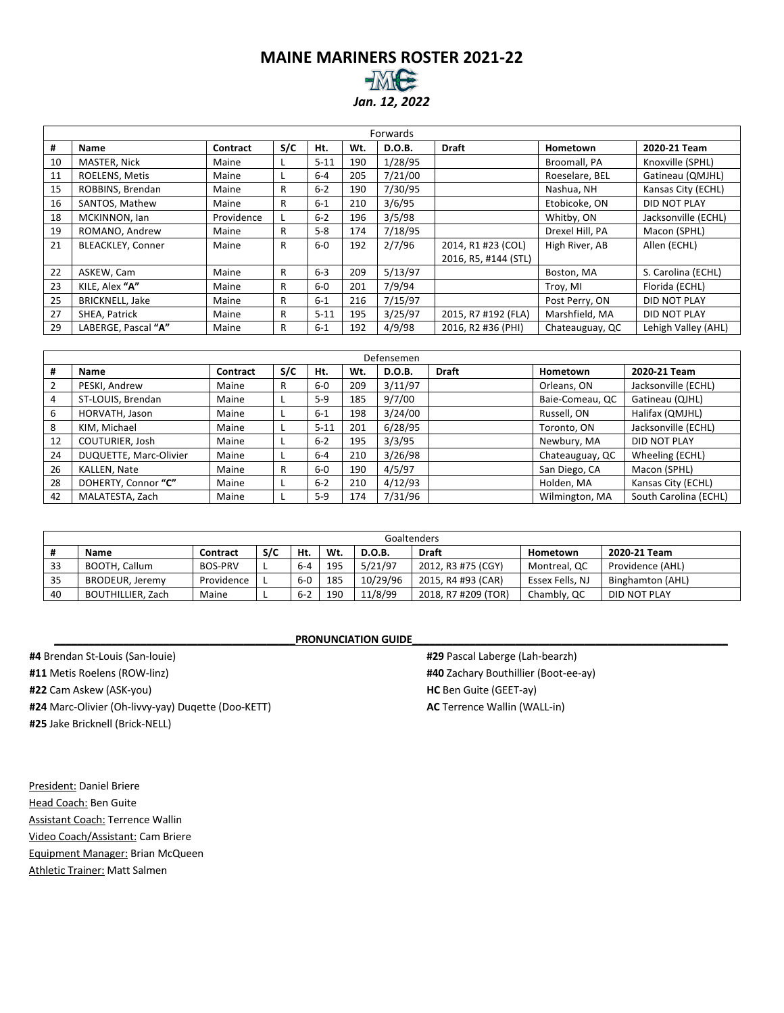# **MAINE MARINERS ROSTER 2021-22** *Jan. 12, 2022*

|    | Forwards                 |                 |     |          |     |         |                      |                 |                     |  |  |  |
|----|--------------------------|-----------------|-----|----------|-----|---------|----------------------|-----------------|---------------------|--|--|--|
| #  | Name                     | <b>Contract</b> | S/C | Ht.      | Wt. | D.O.B.  | <b>Draft</b>         | Hometown        | 2020-21 Team        |  |  |  |
| 10 | MASTER, Nick             | Maine           |     | $5 - 11$ | 190 | 1/28/95 |                      | Broomall, PA    | Knoxville (SPHL)    |  |  |  |
| 11 | ROELENS, Metis           | Maine           |     | $6 - 4$  | 205 | 7/21/00 |                      | Roeselare, BEL  | Gatineau (QMJHL)    |  |  |  |
| 15 | ROBBINS, Brendan         | Maine           | R   | $6 - 2$  | 190 | 7/30/95 |                      | Nashua, NH      | Kansas City (ECHL)  |  |  |  |
| 16 | SANTOS, Mathew           | Maine           | R   | $6 - 1$  | 210 | 3/6/95  |                      | Etobicoke, ON   | DID NOT PLAY        |  |  |  |
| 18 | MCKINNON, Ian            | Providence      |     | $6 - 2$  | 196 | 3/5/98  |                      | Whitby, ON      | Jacksonville (ECHL) |  |  |  |
| 19 | ROMANO, Andrew           | Maine           | R   | $5-8$    | 174 | 7/18/95 |                      | Drexel Hill, PA | Macon (SPHL)        |  |  |  |
| 21 | <b>BLEACKLEY, Conner</b> | Maine           | R   | $6-0$    | 192 | 2/7/96  | 2014, R1 #23 (COL)   | High River, AB  | Allen (ECHL)        |  |  |  |
|    |                          |                 |     |          |     |         | 2016, R5, #144 (STL) |                 |                     |  |  |  |
| 22 | ASKEW, Cam               | Maine           | R   | $6 - 3$  | 209 | 5/13/97 |                      | Boston, MA      | S. Carolina (ECHL)  |  |  |  |
| 23 | KILE, Alex "A"           | Maine           | R   | $6-0$    | 201 | 7/9/94  |                      | Troy, MI        | Florida (ECHL)      |  |  |  |
| 25 | <b>BRICKNELL, Jake</b>   | Maine           | R   | $6 - 1$  | 216 | 7/15/97 |                      | Post Perry, ON  | DID NOT PLAY        |  |  |  |
| 27 | SHEA, Patrick            | Maine           | R   | $5 - 11$ | 195 | 3/25/97 | 2015, R7 #192 (FLA)  | Marshfield, MA  | DID NOT PLAY        |  |  |  |
| 29 | LABERGE, Pascal "A"      | Maine           | R   | $6 - 1$  | 192 | 4/9/98  | 2016, R2 #36 (PHI)   | Chateauguay, QC | Lehigh Valley (AHL) |  |  |  |

|    | Defensemen             |          |     |          |     |               |              |                 |                       |  |  |
|----|------------------------|----------|-----|----------|-----|---------------|--------------|-----------------|-----------------------|--|--|
| #  | <b>Name</b>            | Contract | S/C | Ht.      | Wt. | <b>D.O.B.</b> | <b>Draft</b> | Hometown        | 2020-21 Team          |  |  |
|    | PESKI, Andrew          | Maine    | R   | $6-0$    | 209 | 3/11/97       |              | Orleans, ON     | Jacksonville (ECHL)   |  |  |
| 4  | ST-LOUIS, Brendan      | Maine    |     | $5-9$    | 185 | 9/7/00        |              | Baie-Comeau, QC | Gatineau (QJHL)       |  |  |
| 6  | HORVATH, Jason         | Maine    |     | $6 - 1$  | 198 | 3/24/00       |              | Russell, ON     | Halifax (QMJHL)       |  |  |
| 8  | KIM, Michael           | Maine    |     | $5 - 11$ | 201 | 6/28/95       |              | Toronto, ON     | Jacksonville (ECHL)   |  |  |
| 12 | COUTURIER, Josh        | Maine    |     | $6 - 2$  | 195 | 3/3/95        |              | Newbury, MA     | DID NOT PLAY          |  |  |
| 24 | DUQUETTE, Marc-Olivier | Maine    |     | $6 - 4$  | 210 | 3/26/98       |              | Chateauguay, QC | Wheeling (ECHL)       |  |  |
| 26 | KALLEN, Nate           | Maine    | R   | $6-0$    | 190 | 4/5/97        |              | San Diego, CA   | Macon (SPHL)          |  |  |
| 28 | DOHERTY, Connor "C"    | Maine    |     | $6 - 2$  | 210 | 4/12/93       |              | Holden, MA      | Kansas City (ECHL)    |  |  |
| 42 | MALATESTA, Zach        | Maine    |     | $5-9$    | 174 | 7/31/96       |              | Wilmington, MA  | South Carolina (ECHL) |  |  |

|    | Goaltenders              |                |     |         |     |               |                     |                 |                  |  |
|----|--------------------------|----------------|-----|---------|-----|---------------|---------------------|-----------------|------------------|--|
|    | Name                     | Contract       | S/C | Ht.     | Wt. | <b>D.O.B.</b> | <b>Draft</b>        | Hometown        | 2020-21 Team     |  |
| 33 | BOOTH, Callum            | <b>BOS-PRV</b> |     | $6 - 4$ | 195 | 5/21/97       | 2012, R3 #75 (CGY)  | Montreal, QC    | Providence (AHL) |  |
| 35 | BRODEUR, Jeremy          | Providence     |     | $6-0$   | 185 | 10/29/96      | 2015, R4 #93 (CAR)  | Essex Fells, NJ | Binghamton (AHL) |  |
| 40 | <b>BOUTHILLIER, Zach</b> | Maine          |     | $6 - 2$ | 190 | 11/8/99       | 2018, R7 #209 (TOR) | Chambly, QC     | DID NOT PLAY     |  |

# **PRONUNCIATION GUIDE**

**#4** Brendan St-Louis (San-louie) **#11** Metis Roelens (ROW-linz) **#22** Cam Askew (ASK-you) **#24** Marc-Olivier (Oh-livvy-yay) Duqette (Doo-KETT) **#25** Jake Bricknell (Brick-NELL)

**#29** Pascal Laberge (Lah-bearzh) **#40** Zachary Bouthillier (Boot-ee-ay) **HC** Ben Guite (GEET-ay) **AC** Terrence Wallin (WALL-in)

President: Daniel Briere Head Coach: Ben Guite Assistant Coach: Terrence Wallin Video Coach/Assistant: Cam Briere Equipment Manager: Brian McQueen Athletic Trainer: Matt Salmen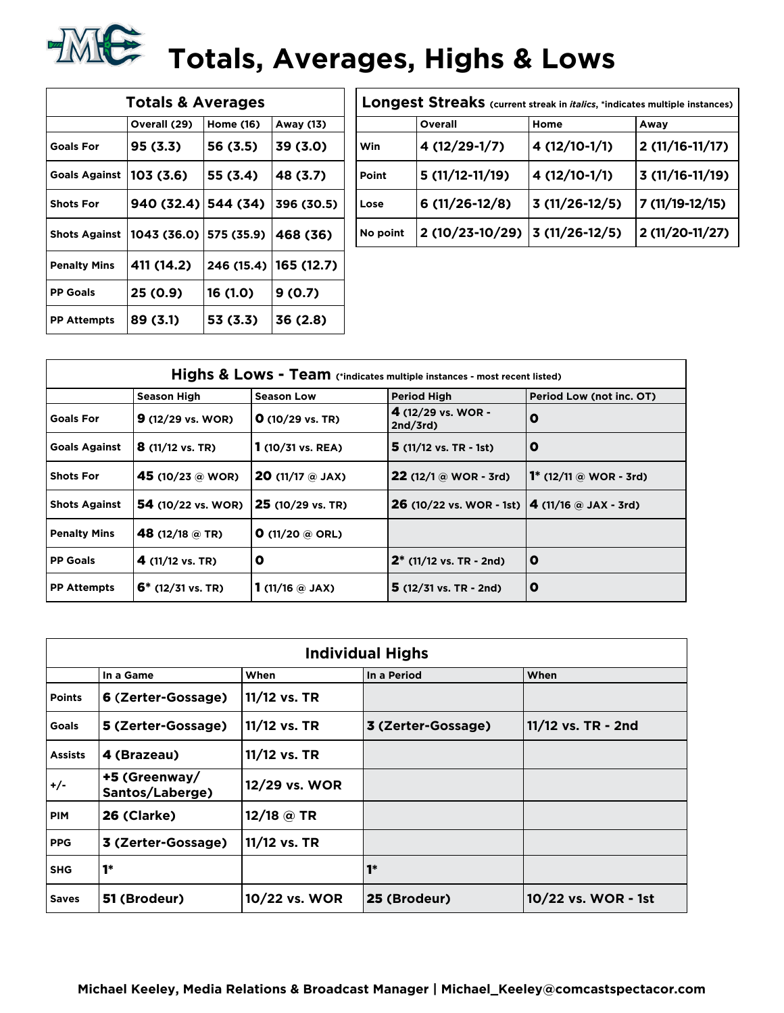# **Totals, Averages, Highs & Low**<br>————————————————————

|                     | <b>Totals &amp; Averages</b>             |           |                         | Longest Streaks (current streak i |                  |       |
|---------------------|------------------------------------------|-----------|-------------------------|-----------------------------------|------------------|-------|
|                     | Overall (29)                             | Home (16) | Away (13)               |                                   | Overall          | Home  |
| <b>Goals For</b>    | 95 (3.3)                                 | 56 (3.5)  | 39(3.0)                 | <b>Win</b>                        | 4 (12/29-1/7)    | 4 (12 |
| Goals Against       | 103(3.6)                                 | 55 (3.4)  | 48 (3.7)                | Point                             | $5(11/12-11/19)$ | 4 (12 |
| <b>Shots For</b>    | $940(32.4)$ 544 (34)                     |           | 396 (30.5)              | Lose                              | $6(11/26-12/8)$  | 3(11) |
|                     | Shots Against   1043 (36.0)   575 (35.9) |           | 468 (36)                | No point                          | 2 (10/23-10/29)  | 3(11) |
| <b>Penalty Mins</b> | 411 (14.2)                               |           | 246 (15.4)   165 (12.7) |                                   |                  |       |
| <b>PP Goals</b>     | 25 (0.9)                                 | 16 (1.0)  | 9(0.7)                  |                                   |                  |       |
| <b>PP Attempts</b>  | 89 (3.1)                                 | 53 (3.3)  | 36(2.8)                 |                                   |                  |       |
|                     |                                          |           |                         |                                   |                  |       |

|          | Longest Streaks (current streak in <i>italics</i> , *indicates multiple instances) |                 |                  |
|----------|------------------------------------------------------------------------------------|-----------------|------------------|
|          | Overall                                                                            | Home            | Away             |
| Win      | 4 (12/29-1/7)                                                                      | 4 (12/10-1/1)   | $2(11/16-11/17)$ |
| Point    | $5(11/12-11/19)$                                                                   | 4 (12/10-1/1)   | $3(11/16-11/19)$ |
| Lose     | $6(11/26-12/8)$                                                                    | $3(11/26-12/5)$ | 7 (11/19-12/15)  |
| No point | 2 (10/23-10/29)                                                                    | $3(11/26-12/5)$ | 2 (11/20-11/27)  |

|                      |                             |                              | Highs & Lows - Team (*indicates multiple instances - most recent listed) |                           |
|----------------------|-----------------------------|------------------------------|--------------------------------------------------------------------------|---------------------------|
|                      | <b>Season High</b>          | <b>Season Low</b>            | <b>Period High</b>                                                       | Period Low (not inc. OT)  |
| <b>Goals For</b>     | $9(12/29 \text{ vs. } WOR)$ | $O(10/29 \text{ vs. TR})$    | 4 $(12/29 \text{ vs. } WOR -$<br>2nd/3rd                                 | 0                         |
| <b>Goals Against</b> | $8(11/12 \text{ vs. TR})$   | $1(10/31 \text{ vs. } REA)$  | $5(11/12 \text{ vs. TR } -1st)$                                          | o                         |
| <b>Shots For</b>     | 45 (10/23 @ WOR)            | <b>20</b> (11/17 $@$ JAX)    | $22(12/1@WOR - 3rd)$                                                     | 1* $(12/11)$ @ WOR - 3rd) |
| <b>Shots Against</b> | <b>54</b> (10/22 vs. WOR)   | 25 (10/29 vs. TR)            | <b>26</b> (10/22 vs. WOR - 1st) $ 4 (11/16)$ a JAX - 3rd)                |                           |
| <b>Penalty Mins</b>  | 48 (12/18 $@$ TR)           | <b>O</b> (11/20 $@$ ORL)     |                                                                          |                           |
| <b>PP Goals</b>      | 4 $(11/12 \text{ vs. TR})$  | O                            | $2^*$ (11/12 vs. TR - 2nd)                                               | $\mathbf 0$               |
| <b>PP Attempts</b>   | $6*$ (12/31 vs. TR)         | 1 (11/16 $\circledcirc$ JAX) | $5(12/31 \text{ vs. TR} - 2nd)$                                          | 0                         |

|                |                                  |               | <b>Individual Highs</b> |                     |
|----------------|----------------------------------|---------------|-------------------------|---------------------|
|                | In a Game                        | When          | In a Period             | When                |
| <b>Points</b>  | 6 (Zerter-Gossage)               | 11/12 vs. TR  |                         |                     |
| <b>Goals</b>   | 5 (Zerter-Gossage)               | 11/12 vs. TR  | 3 (Zerter-Gossage)      | 11/12 vs. TR - 2nd  |
| <b>Assists</b> | 4 (Brazeau)                      | 11/12 vs. TR  |                         |                     |
| +/-            | +5 (Greenway/<br>Santos/Laberge) | 12/29 vs. WOR |                         |                     |
| <b>PIM</b>     | 26 (Clarke)                      | 12/18 @ TR    |                         |                     |
| <b>PPG</b>     | 3 (Zerter-Gossage)               | 11/12 vs. TR  |                         |                     |
| <b>SHG</b>     | $1*$                             |               | $1*$                    |                     |
| <b>Saves</b>   | 51 (Brodeur)                     | 10/22 vs. WOR | 25 (Brodeur)            | 10/22 vs. WOR - 1st |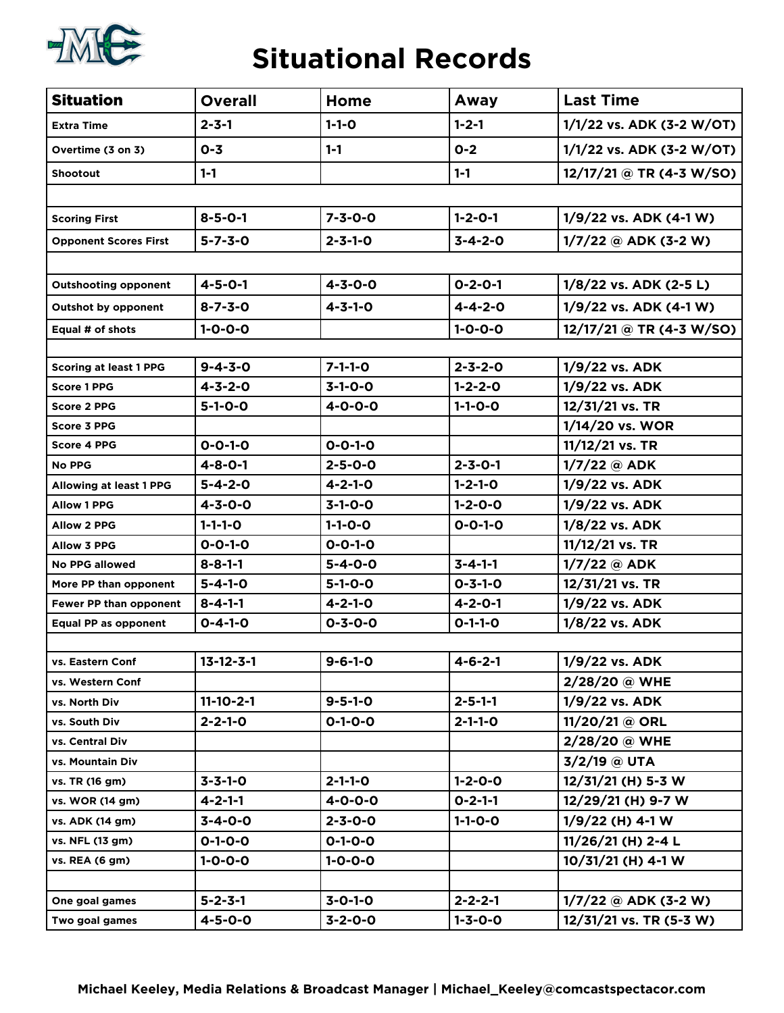

# **Situational Records**

| <b>Situation</b>              | <b>Overall</b>    | Home            | Away            | <b>Last Time</b>           |
|-------------------------------|-------------------|-----------------|-----------------|----------------------------|
| <b>Extra Time</b>             | $2 - 3 - 1$       | $1 - 1 - 0$     | $1 - 2 - 1$     | 1/1/22 vs. ADK (3-2 W/OT)  |
| Overtime (3 on 3)             | $0 - 3$           | $1 - 1$         | $0 - 2$         | 1/1/22 vs. ADK (3-2 W/OT)  |
| <b>Shootout</b>               | $1 - 1$           |                 | $1 - 1$         | $12/17/21 @ TR (4-3 W/SO)$ |
|                               |                   |                 |                 |                            |
| <b>Scoring First</b>          | $8 - 5 - 0 - 1$   | $7 - 3 - 0 - 0$ | $1 - 2 - 0 - 1$ | 1/9/22 vs. ADK (4-1 W)     |
| <b>Opponent Scores First</b>  | $5 - 7 - 3 - 0$   | $2 - 3 - 1 - 0$ | $3 - 4 - 2 - 0$ | $1/7/22$ @ ADK (3-2 W)     |
|                               |                   |                 |                 |                            |
| <b>Outshooting opponent</b>   | $4 - 5 - 0 - 1$   | $4 - 3 - 0 - 0$ | $0 - 2 - 0 - 1$ | 1/8/22 vs. ADK (2-5 L)     |
| <b>Outshot by opponent</b>    | $8 - 7 - 3 - 0$   | $4 - 3 - 1 - 0$ | $4 - 4 - 2 - 0$ | $1/9/22$ vs. ADK (4-1 W)   |
| Equal # of shots              | $1 - 0 - 0 - 0$   |                 | $1 - 0 - 0 - 0$ | 12/17/21 @ TR (4-3 W/SO)   |
|                               |                   |                 |                 |                            |
| <b>Scoring at least 1 PPG</b> | $9 - 4 - 3 - 0$   | $7 - 1 - 1 - 0$ | $2 - 3 - 2 - 0$ | 1/9/22 vs. ADK             |
| <b>Score 1 PPG</b>            | $4 - 3 - 2 - 0$   | $3 - 1 - 0 - 0$ | $1 - 2 - 2 - 0$ | 1/9/22 vs. ADK             |
| <b>Score 2 PPG</b>            | $5 - 1 - 0 - 0$   | $4 - 0 - 0 - 0$ | $1 - 1 - 0 - 0$ | 12/31/21 vs. TR            |
| Score 3 PPG                   |                   |                 |                 | 1/14/20 vs. WOR            |
| <b>Score 4 PPG</b>            | $0 - 0 - 1 - 0$   | $0 - 0 - 1 - 0$ |                 | 11/12/21 vs. TR            |
| <b>No PPG</b>                 | $4 - 8 - 0 - 1$   | $2 - 5 - 0 - 0$ | $2 - 3 - 0 - 1$ | $1/7/22$ @ ADK             |
| Allowing at least 1 PPG       | $5 - 4 - 2 - 0$   | $4 - 2 - 1 - 0$ | $1 - 2 - 1 - 0$ | 1/9/22 vs. ADK             |
| <b>Allow 1 PPG</b>            | $4 - 3 - 0 - 0$   | $3-1-0-0$       | $1 - 2 - 0 - 0$ | 1/9/22 vs. ADK             |
| <b>Allow 2 PPG</b>            | $1 - 1 - 1 - 0$   | $1 - 1 - 0 - 0$ | $0 - 0 - 1 - 0$ | 1/8/22 vs. ADK             |
| <b>Allow 3 PPG</b>            | $0 - 0 - 1 - 0$   | $0 - 0 - 1 - 0$ |                 | 11/12/21 vs. TR            |
| <b>No PPG allowed</b>         | $8 - 8 - 1 - 1$   | $5 - 4 - 0 - 0$ | $3 - 4 - 1 - 1$ | $1/7/22$ @ ADK             |
| More PP than opponent         | $5 - 4 - 1 - 0$   | $5 - 1 - 0 - 0$ | $0 - 3 - 1 - 0$ | 12/31/21 vs. TR            |
| Fewer PP than opponent        | $8 - 4 - 1 - 1$   | $4 - 2 - 1 - 0$ | $4 - 2 - 0 - 1$ | 1/9/22 vs. ADK             |
| Equal PP as opponent          | $0 - 4 - 1 - 0$   | $0 - 3 - 0 - 0$ | $0 - 1 - 1 - 0$ | 1/8/22 vs. ADK             |
|                               |                   |                 |                 |                            |
| vs. Eastern Conf              | $13 - 12 - 3 - 1$ | $9 - 6 - 1 - 0$ | $4 - 6 - 2 - 1$ | 1/9/22 vs. ADK             |
| vs. Western Conf              |                   |                 |                 | 2/28/20 @ WHE              |
| vs. North Div                 | $11 - 10 - 2 - 1$ | $9 - 5 - 1 - 0$ | $2 - 5 - 1 - 1$ | 1/9/22 vs. ADK             |
| vs. South Div                 | $2 - 2 - 1 - 0$   | $0 - 1 - 0 - 0$ | $2 - 1 - 1 - 0$ | 11/20/21 @ ORL             |
| vs. Central Div               |                   |                 |                 | 2/28/20 @ WHE              |
| vs. Mountain Div              |                   |                 |                 | 3/2/19 @ UTA               |
| vs. TR (16 gm)                | $3 - 3 - 1 - 0$   | $2 - 1 - 1 - 0$ | $1 - 2 - 0 - 0$ | 12/31/21 (H) 5-3 W         |
| vs. WOR (14 gm)               | $4 - 2 - 1 - 1$   | $4 - 0 - 0 - 0$ | $0 - 2 - 1 - 1$ | 12/29/21 (H) 9-7 W         |
| vs. ADK (14 gm)               | $3 - 4 - 0 - 0$   | $2 - 3 - 0 - 0$ | $1 - 1 - 0 - 0$ | $1/9/22$ (H) 4-1 W         |
| vs. NFL (13 gm)               | $0 - 1 - 0 - 0$   | $0 - 1 - 0 - 0$ |                 | 11/26/21 (H) 2-4 L         |
| vs. REA (6 gm)                | $1 - 0 - 0 - 0$   | $1 - 0 - 0 - 0$ |                 | 10/31/21 (H) 4-1 W         |
|                               |                   |                 |                 |                            |
| One goal games                | $5 - 2 - 3 - 1$   | $3 - 0 - 1 - 0$ | $2 - 2 - 2 - 1$ | $1/7/22$ @ ADK (3-2 W)     |
| Two goal games                | $4 - 5 - 0 - 0$   | $3 - 2 - 0 - 0$ | $1 - 3 - 0 - 0$ | 12/31/21 vs. TR (5-3 W)    |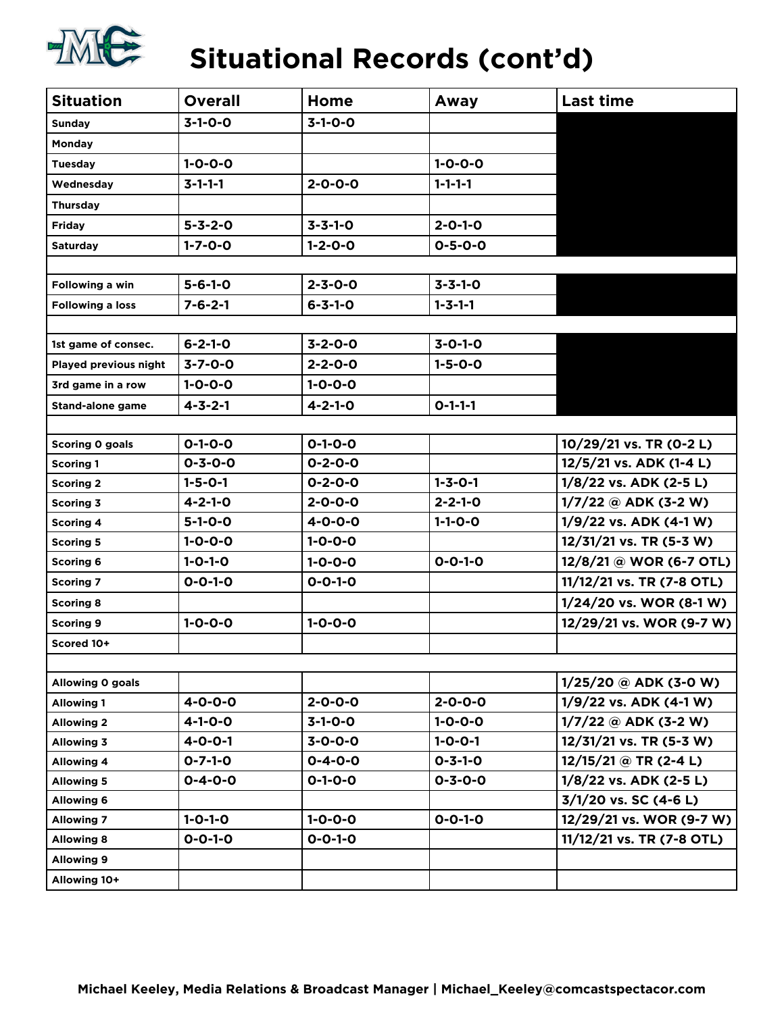

| <b>EVEL</b>             |                 |                 | Siludlional Records (Contra) |                           |
|-------------------------|-----------------|-----------------|------------------------------|---------------------------|
| <b>Situation</b>        | <b>Overall</b>  | Home            | Away                         | <b>Last time</b>          |
| <b>Sunday</b>           | $3-1-0-0$       | $3 - 1 - 0 - 0$ |                              |                           |
| Monday                  |                 |                 |                              |                           |
| <b>Tuesday</b>          | $1 - 0 - 0 - 0$ |                 | $1 - 0 - 0 - 0$              |                           |
| Wednesday               | $3 - 1 - 1 - 1$ | $2 - 0 - 0 - 0$ | $1 - 1 - 1 - 1$              |                           |
| Thursday                |                 |                 |                              |                           |
| <b>Friday</b>           | $5 - 3 - 2 - 0$ | $3 - 3 - 1 - 0$ | $2 - 0 - 1 - 0$              |                           |
| Saturday                | $1 - 7 - 0 - 0$ | $1 - 2 - 0 - 0$ | $0 - 5 - 0 - 0$              |                           |
|                         |                 |                 |                              |                           |
| Following a win         | $5 - 6 - 1 - 0$ | $2 - 3 - 0 - 0$ | $3 - 3 - 1 - 0$              |                           |
| Following a loss        | $7 - 6 - 2 - 1$ | $6 - 3 - 1 - 0$ | $1 - 3 - 1 - 1$              |                           |
|                         |                 |                 |                              |                           |
| 1st game of consec.     | $6 - 2 - 1 - 0$ | $3 - 2 - 0 - 0$ | $3 - 0 - 1 - 0$              |                           |
| Played previous night   | $3 - 7 - 0 - 0$ | $2 - 2 - 0 - 0$ | $1 - 5 - 0 - 0$              |                           |
| 3rd game in a row       | $1 - 0 - 0 - 0$ | $1 - 0 - 0 - 0$ |                              |                           |
| <b>Stand-alone game</b> | $4 - 3 - 2 - 1$ | $4 - 2 - 1 - 0$ | $0 - 1 - 1 - 1$              |                           |
|                         |                 |                 |                              |                           |
| <b>Scoring 0 goals</b>  | $0 - 1 - 0 - 0$ | $0 - 1 - 0 - 0$ |                              | 10/29/21 vs. TR (0-2 L)   |
| <b>Scoring 1</b>        | $0 - 3 - 0 - 0$ | $0 - 2 - 0 - 0$ |                              | 12/5/21 vs. ADK (1-4 L)   |
| <b>Scoring 2</b>        | $1 - 5 - 0 - 1$ | $0 - 2 - 0 - 0$ | $1 - 3 - 0 - 1$              | 1/8/22 vs. ADK (2-5 L)    |
| <b>Scoring 3</b>        | $4 - 2 - 1 - 0$ | $2 - 0 - 0 - 0$ | $2 - 2 - 1 - 0$              | 1/7/22 @ ADK (3-2 W)      |
| <b>Scoring 4</b>        | $5 - 1 - 0 - 0$ | $4 - 0 - 0 - 0$ | $1 - 1 - 0 - 0$              | 1/9/22 vs. ADK (4-1 W)    |
| Scoring 5               | $1 - 0 - 0 - 0$ | $1 - 0 - 0 - 0$ |                              | 12/31/21 vs. TR (5-3 W)   |
| Scoring 6               | $1 - 0 - 1 - 0$ | $1 - 0 - 0 - 0$ | $0 - 0 - 1 - 0$              | 12/8/21 @ WOR (6-7 OTL)   |
| <b>Scoring 7</b>        | $0 - 0 - 1 - 0$ | $0 - 0 - 1 - 0$ |                              | 11/12/21 vs. TR (7-8 OTL) |
| <b>Scoring 8</b>        |                 |                 |                              | 1/24/20 vs. WOR (8-1 W)   |
| <b>Scoring 9</b>        | $1 - 0 - 0 - 0$ | $1 - 0 - 0 - 0$ |                              | 12/29/21 vs. WOR (9-7 W)  |
| Scored 10+              |                 |                 |                              |                           |
|                         |                 |                 |                              |                           |
| Allowing 0 goals        |                 |                 |                              | $1/25/20$ @ ADK (3-0 W)   |
| Allowing 1              | $4 - 0 - 0 - 0$ | $2 - 0 - 0 - 0$ | $2 - 0 - 0 - 0$              | 1/9/22 vs. ADK (4-1 W)    |
| <b>Allowing 2</b>       | 4-1-0-0         | $3 - 1 - 0 - 0$ | $1 - 0 - 0 - 0$              | $1/7/22$ @ ADK (3-2 W)    |
| Allowing 3              | $4 - 0 - 0 - 1$ | $3 - 0 - 0 - 0$ | $1 - 0 - 0 - 1$              | 12/31/21 vs. TR (5-3 W)   |
| <b>Allowing 4</b>       | $0 - 7 - 1 - 0$ | $0 - 4 - 0 - 0$ | $0 - 3 - 1 - 0$              | $12/15/21 @ TR (2-4 L)$   |
| <b>Allowing 5</b>       | $0 - 4 - 0 - 0$ | $0 - 1 - 0 - 0$ | $0 - 3 - 0 - 0$              | $1/8/22$ vs. ADK (2-5 L)  |
| <b>Allowing 6</b>       |                 |                 |                              | $3/1/20$ vs. SC (4-6 L)   |
| <b>Allowing 7</b>       | $1 - 0 - 1 - 0$ | $1 - 0 - 0 - 0$ | $0 - 0 - 1 - 0$              | 12/29/21 vs. WOR (9-7 W)  |
| <b>Allowing 8</b>       | $0 - 0 - 1 - 0$ | $0 - 0 - 1 - 0$ |                              | 11/12/21 vs. TR (7-8 OTL) |
| <b>Allowing 9</b>       |                 |                 |                              |                           |
| Allowing 10+            |                 |                 |                              |                           |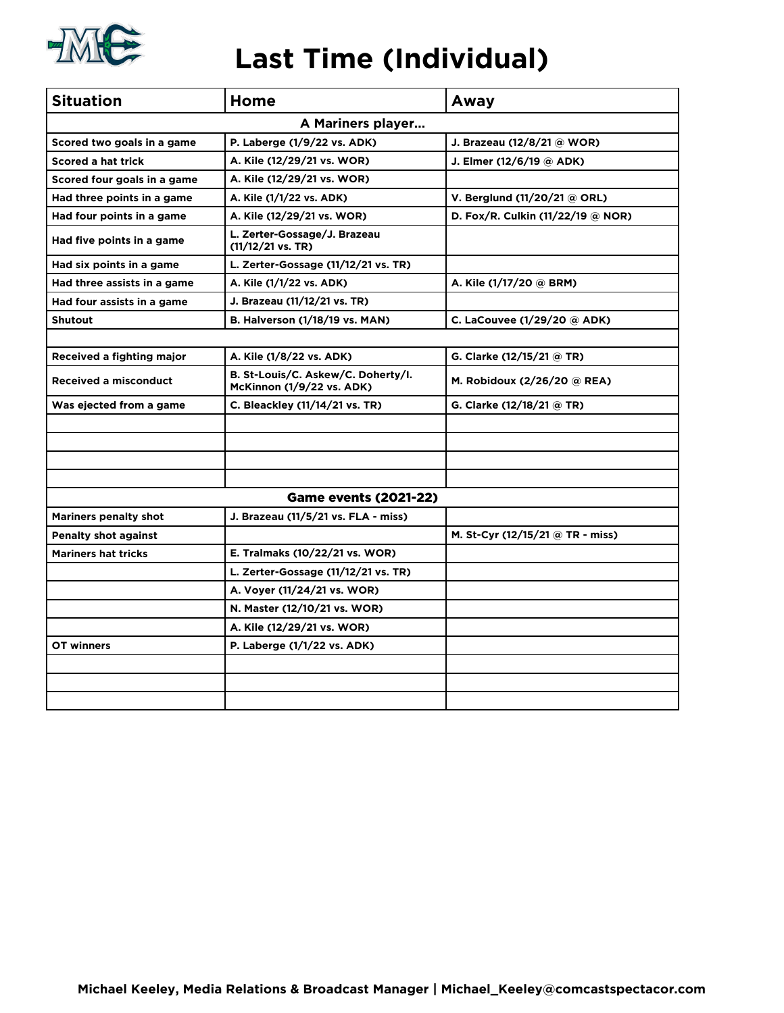

| <b>Situation</b>             | Home                                                            | Away                                   |
|------------------------------|-----------------------------------------------------------------|----------------------------------------|
|                              | A Mariners player                                               |                                        |
| Scored two goals in a game   | P. Laberge (1/9/22 vs. ADK)                                     | J. Brazeau (12/8/21 @ WOR)             |
| Scored a hat trick           | A. Kile (12/29/21 vs. WOR)                                      | J. Elmer (12/6/19 @ ADK)               |
| Scored four goals in a game  | A. Kile (12/29/21 vs. WOR)                                      |                                        |
| Had three points in a game   | A. Kile (1/1/22 vs. ADK)                                        | V. Berglund (11/20/21 @ ORL)           |
| Had four points in a game    | A. Kile (12/29/21 vs. WOR)                                      | D. Fox/R. Culkin (11/22/19 @ NOR)      |
| Had five points in a game    | L. Zerter-Gossage/J. Brazeau<br>$(11/12/21 \text{ vs. TR})$     |                                        |
| Had six points in a game     | L. Zerter-Gossage (11/12/21 vs. TR)                             |                                        |
| Had three assists in a game  | A. Kile (1/1/22 vs. ADK)                                        | A. Kile (1/17/20 @ BRM)                |
| Had four assists in a game   | J. Brazeau (11/12/21 vs. TR)                                    |                                        |
| <b>Shutout</b>               | B. Halverson (1/18/19 vs. MAN)                                  | C. LaCouvee $(1/29/20 \text{ @ }$ ADK) |
|                              |                                                                 |                                        |
| Received a fighting major    | A. Kile (1/8/22 vs. ADK)                                        | G. Clarke (12/15/21 @ TR)              |
| <b>Received a misconduct</b> | B. St-Louis/C. Askew/C. Doherty/I.<br>McKinnon (1/9/22 vs. ADK) | M. Robidoux $(2/26/20)$ @ REA)         |
| Was ejected from a game      | C. Bleackley (11/14/21 vs. TR)                                  | G. Clarke (12/18/21 @ TR)              |
|                              |                                                                 |                                        |
|                              |                                                                 |                                        |
|                              |                                                                 |                                        |
|                              |                                                                 |                                        |
|                              | <b>Game events (2021-22)</b>                                    |                                        |
| <b>Mariners penalty shot</b> | J. Brazeau (11/5/21 vs. FLA - miss)                             |                                        |
| <b>Penalty shot against</b>  |                                                                 | M. St-Cyr (12/15/21 @ TR - miss)       |
| <b>Mariners hat tricks</b>   | E. Tralmaks (10/22/21 vs. WOR)                                  |                                        |
|                              | L. Zerter-Gossage (11/12/21 vs. TR)                             |                                        |
|                              | A. Voyer (11/24/21 vs. WOR)                                     |                                        |
|                              | N. Master (12/10/21 vs. WOR)                                    |                                        |
|                              | A. Kile (12/29/21 vs. WOR)                                      |                                        |
| OT winners                   | P. Laberge (1/1/22 vs. ADK)                                     |                                        |
|                              |                                                                 |                                        |
|                              |                                                                 |                                        |
|                              |                                                                 |                                        |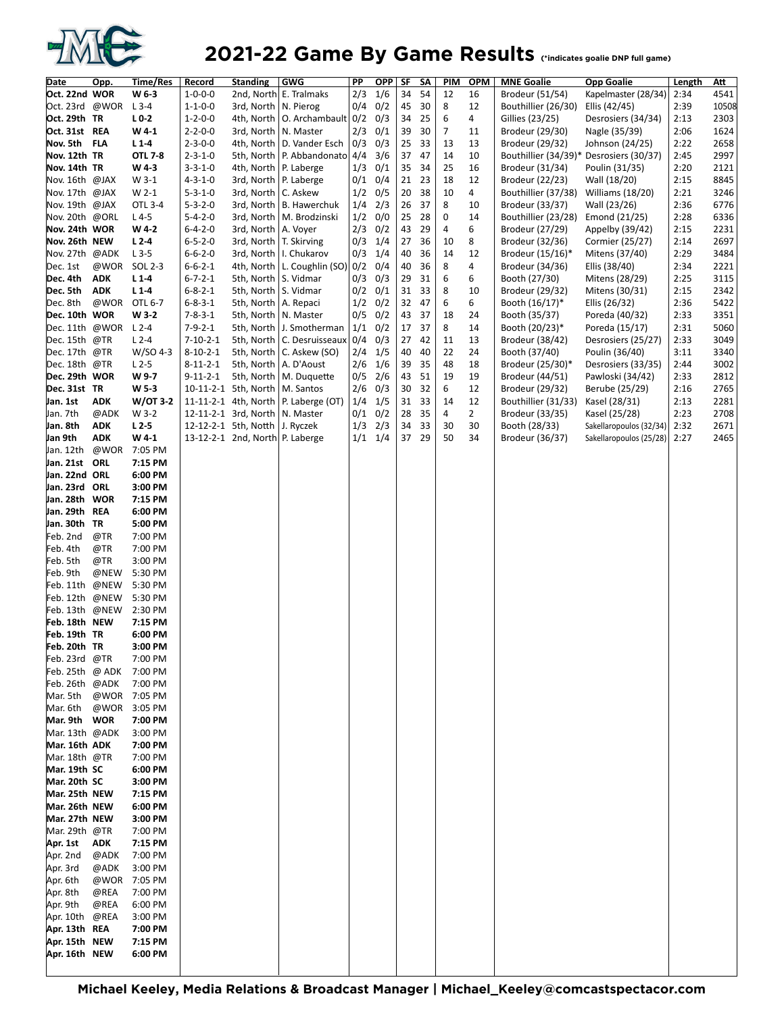

| Date                           | Opp.               | Time/Res           | Record                             | <b>Standing</b>                      | <b>GWG</b>                 | PP                           | <b>OPP</b>  | SF       | SΛ       | PIM            | <b>OPM</b>     | <b>MNE Goalie</b>                 | <b>Opp Goalie</b>                       | Length       | Att          |
|--------------------------------|--------------------|--------------------|------------------------------------|--------------------------------------|----------------------------|------------------------------|-------------|----------|----------|----------------|----------------|-----------------------------------|-----------------------------------------|--------------|--------------|
| Oct. 22nd WOR                  |                    | W 6-3              | $1 - 0 - 0 - 0$                    |                                      | 2nd, North E. Tralmaks     | 2/3                          | 1/6         | 34       | 54       | 12             | 16             | Brodeur (51/54)                   | Kapelmaster (28/34)                     | 2:34         | 4541         |
| Oct. 23rd @WOR                 |                    | $L$ 3-4            | $1 - 1 - 0 - 0$                    | 3rd, North   N. Pierog               |                            | 0/4                          | 0/2         | 45       | 30       | 8              | 12             | Bouthillier (26/30)               | Ellis (42/45)                           | 2:39         | 10508        |
| Oct. 29th TR                   |                    | $L0-2$             | $1 - 2 - 0 - 0$                    | 4th, North                           | O. Archambault 0/2         |                              | 0/3         | 34       | 25       | 6              | 4              | Gillies (23/25)                   | Desrosiers (34/34)                      | 2:13         | 2303         |
| Oct. 31st REA                  |                    | W4-1               | $2 - 2 - 0 - 0$                    | 3rd, North                           | N. Master                  | 2/3                          | 0/1         | 39       | 30       | $\overline{7}$ | 11             | Brodeur (29/30)                   | Nagle (35/39)                           | 2:06         | 1624         |
| Nov. 5th FLA                   |                    | $L1-4$             | $2 - 3 - 0 - 0$                    | 4th, North                           | D. Vander Esch             | 0/3                          | 0/3         | 25       | 33       | 13             | 13             | Brodeur (29/32)                   | Johnson (24/25)                         | 2:22         | 2658         |
| Nov. 12th TR                   |                    | OTL 7-8            | $2 - 3 - 1 - 0$                    | 5th, North                           | P. Abbandonato 4/4         |                              | 3/6         | 37       | 47       | 14             | 10             |                                   | Bouthillier (34/39)* Desrosiers (30/37) | 2:45         | 2997         |
| Nov. 14th TR                   |                    | W 4-3              | $3 - 3 - 1 - 0$                    | 4th, North   P. Laberge              |                            | 1/3                          | 0/1         | 35       | 34       | 25             | 16             | Brodeur (31/34)                   | Poulin (31/35)                          | 2:20         | 2121         |
| Nov. 16th @JAX                 |                    | W 3-1              | $4 - 3 - 1 - 0$                    | 3rd, North                           | P. Laberge                 | 0/1                          | 0/4         | 21       | 23       | 18             | 12             | Brodeur (22/23)                   | Wall (18/20)                            | 2:15         | 8845         |
| Nov. 17th @JAX                 |                    | W 2-1              | $5 - 3 - 1 - 0$                    | 3rd, North   C. Askew                |                            | 1/2                          | 0/5         | 20       | 38       | 10             | 4              | Bouthillier (37/38)               | Williams (18/20)                        | 2:21         | 3246         |
| Nov. 19th @JAX                 |                    | OTL 3-4            | $5 - 3 - 2 - 0$                    | 3rd, North                           | <b>B.</b> Hawerchuk        | 1/4                          | 2/3         | 26       | 37       | 8              | 10             | Brodeur (33/37)                   | Wall (23/26)                            | 2:36         | 6776         |
| Nov. 20th @ORL                 |                    | $L4-5$             | $5 - 4 - 2 - 0$                    | 3rd, North                           | M. Brodzinski              | 1/2                          | 0/0         | 25       | 28       | 0              | 14             | Bouthillier (23/28)               | Emond (21/25)                           | 2:28         | 6336         |
| Nov. 24th WOR                  |                    | W 4-2              | $6 - 4 - 2 - 0$                    | 3rd, North   A. Voyer                |                            | 2/3                          | 0/2         | 43       | 29       | 4              | 6              | Brodeur (27/29)                   | Appelby (39/42)                         | 2:15         | 2231         |
| Nov. 26th NEW                  |                    | $L2-4$             | $6 - 5 - 2 - 0$                    | 3rd, North                           | T. Skirving                | 0/3                          | 1/4         | 27       | 36       | 10             | 8              | Brodeur (32/36)                   | Cormier (25/27)                         | 2:14         | 2697         |
| Nov. 27th @ADK                 |                    | $L$ 3-5            | $6 - 6 - 2 - 0$                    |                                      | 3rd, North   I. Chukarov   | 0/3                          | 1/4         | 40       | 36       | 14             | 12             | Brodeur (15/16)*                  | Mitens (37/40)                          | 2:29         | 3484         |
| Dec. 1st                       | @WOR               | SOL 2-3            | $6 - 6 - 2 - 1$                    | 4th, North                           | L. Coughlin $(SO)$ 0/2     |                              | 0/4         | 40       | 36       | 8              | 4              | Brodeur (34/36)                   | Ellis (38/40)                           | 2:34         | 2221         |
| Dec. 4th                       | <b>ADK</b>         | $L1-4$             | $6 - 7 - 2 - 1$                    | 5th, North   S. Vidmar               |                            | 0/3                          | 0/3         | 29       | 31       | 6              | 6              | Booth (27/30)                     | Mitens (28/29)                          | 2:25         | 3115         |
| Dec. 5th<br>Dec. 8th           | <b>ADK</b><br>@WOR | $L1-4$             | $6 - 8 - 2 - 1$<br>$6 - 8 - 3 - 1$ | 5th, North   S. Vidmar<br>5th, North |                            | 0/2<br>1/2                   | 0/1<br>0/2  | 31<br>32 | 33<br>47 | 8<br>6         | 10<br>6        | Brodeur (29/32)<br>Booth (16/17)* | Mitens (30/31)                          | 2:15<br>2:36 | 2342<br>5422 |
| Dec. 10th WOR                  |                    | OTL 6-7<br>W 3-2   | $7 - 8 - 3 - 1$                    | 5th, North   N. Master               | A. Repaci                  | 0/5                          | 0/2         | 43       | 37       | 18             | 24             | Booth (35/37)                     | Ellis (26/32)<br>Poreda (40/32)         | 2:33         | 3351         |
| Dec. 11th @WOR                 |                    | $L2-4$             | $7-9-2-1$                          | 5th, North                           | J. Smotherman              | $\left  \frac{1}{1} \right $ | 0/2         | 17       | 37       | 8              | 14             | Booth (20/23)*                    | Poreda (15/17)                          | 2:31         | 5060         |
| Dec. 15th @TR                  |                    | $L2-4$             | $7 - 10 - 2 - 1$                   | 5th, North                           | C. Desruisseaux 0/4        |                              | 0/3         | 27       | 42       | 11             | 13             | Brodeur (38/42)                   | Desrosiers (25/27)                      | 2:33         | 3049         |
| Dec. 17th @TR                  |                    | $W/SO$ 4-3         | $8 - 10 - 2 - 1$                   |                                      | 5th, North   C. Askew (SO) | 2/4                          | 1/5         | 40       | 40       | 22             | 24             | Booth (37/40)                     | Poulin (36/40)                          | 3:11         | 3340         |
| Dec. 18th @TR                  |                    | $L2-5$             | $8 - 11 - 2 - 1$                   | 5th, North                           | A. D'Aoust                 | 2/6                          | 1/6         | 39       | 35       | 48             | 18             | Brodeur (25/30)*                  | Desrosiers (33/35)                      | 2:44         | 3002         |
| Dec. 29th WOR                  |                    | W 9-7              | $9 - 11 - 2 - 1$                   | 5th, North                           | M. Duquette                | 0/5                          | 2/6         | 43       | 51       | 19             | 19             | Brodeur (44/51)                   | Pawloski (34/42)                        | 2:33         | 2812         |
| Dec. 31st TR                   |                    | W 5-3              |                                    | 10-11-2-1 5th, North                 | M. Santos                  | 2/6                          | 0/3         | 30       | 32       | 6              | 12             | Brodeur (29/32)                   | Berube (25/29)                          | 2:16         | 2765         |
| Jan. 1st                       | <b>ADK</b>         | W/OT 3-2           |                                    | 11-11-2-1 4th, North                 | P. Laberge (OT)            | 1/4                          | 1/5         | 31       | 33       | 14             | 12             | Bouthillier (31/33)               | Kasel (28/31)                           | 2:13         | 2281         |
| Jan. 7th                       | @ADK               | W 3-2              |                                    | 12-11-2-1 3rd, North                 | N. Master                  | 0/1                          | 0/2         | 28       | 35       | $\overline{4}$ | $\overline{2}$ | Brodeur (33/35)                   | Kasel (25/28)                           | 2:23         | 2708         |
| Jan. 8th                       | <b>ADK</b>         | $L2-5$             |                                    | 12-12-2-1 5th, Notth                 | J. Ryczek                  | 1/3                          | 2/3         | 34       | 33       | 30             | 30             | Booth (28/33)                     | Sakellaropoulos (32/34)                 | 2:32         | 2671         |
| Jan 9th                        | <b>ADK</b>         | W4-1               |                                    | 13-12-2-1 2nd, North P. Laberge      |                            |                              | $1/1$ $1/4$ | 37       | 29       | 50             | 34             | Brodeur (36/37)                   | Sakellaropoulos (25/28)                 | 2:27         | 2465         |
| Jan. 12th                      | @WOR               | 7:05 PM            |                                    |                                      |                            |                              |             |          |          |                |                |                                   |                                         |              |              |
| Jan. 21st ORL                  |                    | 7:15 PM            |                                    |                                      |                            |                              |             |          |          |                |                |                                   |                                         |              |              |
| Jan. 22nd ORL                  |                    | 6:00 PM            |                                    |                                      |                            |                              |             |          |          |                |                |                                   |                                         |              |              |
| Jan. 23rd ORL                  |                    | 3:00 PM            |                                    |                                      |                            |                              |             |          |          |                |                |                                   |                                         |              |              |
| Jan. 28th WOR                  |                    | 7:15 PM            |                                    |                                      |                            |                              |             |          |          |                |                |                                   |                                         |              |              |
| Jan. 29th REA                  |                    | 6:00 PM            |                                    |                                      |                            |                              |             |          |          |                |                |                                   |                                         |              |              |
| Jan. 30th TR                   |                    | 5:00 PM            |                                    |                                      |                            |                              |             |          |          |                |                |                                   |                                         |              |              |
| Feb. 2nd                       | @TR                | 7:00 PM            |                                    |                                      |                            |                              |             |          |          |                |                |                                   |                                         |              |              |
| Feb. 4th                       | @TR                | 7:00 PM            |                                    |                                      |                            |                              |             |          |          |                |                |                                   |                                         |              |              |
| Feb. 5th<br>Feb. 9th           | @TR<br>@NEW        | 3:00 PM<br>5:30 PM |                                    |                                      |                            |                              |             |          |          |                |                |                                   |                                         |              |              |
| Feb. 11th                      | @NEW               | 5:30 PM            |                                    |                                      |                            |                              |             |          |          |                |                |                                   |                                         |              |              |
| Feb. 12th @NEW                 |                    | 5:30 PM            |                                    |                                      |                            |                              |             |          |          |                |                |                                   |                                         |              |              |
| Feb. 13th @NEW                 |                    | 2:30 PM            |                                    |                                      |                            |                              |             |          |          |                |                |                                   |                                         |              |              |
| Feb. 18th NEW                  |                    | 7:15 PM            |                                    |                                      |                            |                              |             |          |          |                |                |                                   |                                         |              |              |
| Feb. 19th TR                   |                    | 6:00 PM            |                                    |                                      |                            |                              |             |          |          |                |                |                                   |                                         |              |              |
| Feb. 20th TR                   |                    | 3:00 PM            |                                    |                                      |                            |                              |             |          |          |                |                |                                   |                                         |              |              |
| Feb. 23rd @TR                  |                    | 7:00 PM            |                                    |                                      |                            |                              |             |          |          |                |                |                                   |                                         |              |              |
| Feb. 25th @ ADK                |                    | 7:00 PM            |                                    |                                      |                            |                              |             |          |          |                |                |                                   |                                         |              |              |
| Feb.26th @ADK                  |                    | 7:00 PM            |                                    |                                      |                            |                              |             |          |          |                |                |                                   |                                         |              |              |
| Mar. 5th                       |                    | @WOR 7:05 PM       |                                    |                                      |                            |                              |             |          |          |                |                |                                   |                                         |              |              |
| Mar. 6th                       | @WOR               | 3:05 PM            |                                    |                                      |                            |                              |             |          |          |                |                |                                   |                                         |              |              |
| Mar. 9th WOR                   |                    | 7:00 PM            |                                    |                                      |                            |                              |             |          |          |                |                |                                   |                                         |              |              |
| Mar. 13th @ADK                 |                    | 3:00 PM            |                                    |                                      |                            |                              |             |          |          |                |                |                                   |                                         |              |              |
| Mar. 16th ADK                  |                    | 7:00 PM            |                                    |                                      |                            |                              |             |          |          |                |                |                                   |                                         |              |              |
| Mar. 18th @TR                  |                    | 7:00 PM            |                                    |                                      |                            |                              |             |          |          |                |                |                                   |                                         |              |              |
| Mar. 19th SC                   |                    | 6:00 PM            |                                    |                                      |                            |                              |             |          |          |                |                |                                   |                                         |              |              |
| Mar. 20th SC<br>Mar. 25th NEW  |                    | 3:00 PM            |                                    |                                      |                            |                              |             |          |          |                |                |                                   |                                         |              |              |
|                                |                    | 7:15 PM            |                                    |                                      |                            |                              |             |          |          |                |                |                                   |                                         |              |              |
| Mar. 26th NEW<br>Mar. 27th NEW |                    | 6:00 PM<br>3:00 PM |                                    |                                      |                            |                              |             |          |          |                |                |                                   |                                         |              |              |
| Mar. 29th @TR                  |                    | 7:00 PM            |                                    |                                      |                            |                              |             |          |          |                |                |                                   |                                         |              |              |
| Apr. 1st                       | <b>ADK</b>         | 7:15 PM            |                                    |                                      |                            |                              |             |          |          |                |                |                                   |                                         |              |              |
| Apr. 2nd                       | @ADK               | 7:00 PM            |                                    |                                      |                            |                              |             |          |          |                |                |                                   |                                         |              |              |
| Apr. 3rd                       | @ADK               | 3:00 PM            |                                    |                                      |                            |                              |             |          |          |                |                |                                   |                                         |              |              |
| Apr. 6th                       | @WOR               | 7:05 PM            |                                    |                                      |                            |                              |             |          |          |                |                |                                   |                                         |              |              |
| Apr. 8th                       | @REA               | 7:00 PM            |                                    |                                      |                            |                              |             |          |          |                |                |                                   |                                         |              |              |
| Apr. 9th                       | @REA               | 6:00 PM            |                                    |                                      |                            |                              |             |          |          |                |                |                                   |                                         |              |              |
| Apr. 10th                      | @REA               | 3:00 PM            |                                    |                                      |                            |                              |             |          |          |                |                |                                   |                                         |              |              |
| Apr. 13th REA                  |                    | 7:00 PM            |                                    |                                      |                            |                              |             |          |          |                |                |                                   |                                         |              |              |
| Apr. 15th NEW                  |                    | 7:15 PM            |                                    |                                      |                            |                              |             |          |          |                |                |                                   |                                         |              |              |
| Apr. 16th NEW                  |                    | 6:00 PM            |                                    |                                      |                            |                              |             |          |          |                |                |                                   |                                         |              |              |
|                                |                    |                    |                                    |                                      |                            |                              |             |          |          |                |                |                                   |                                         |              |              |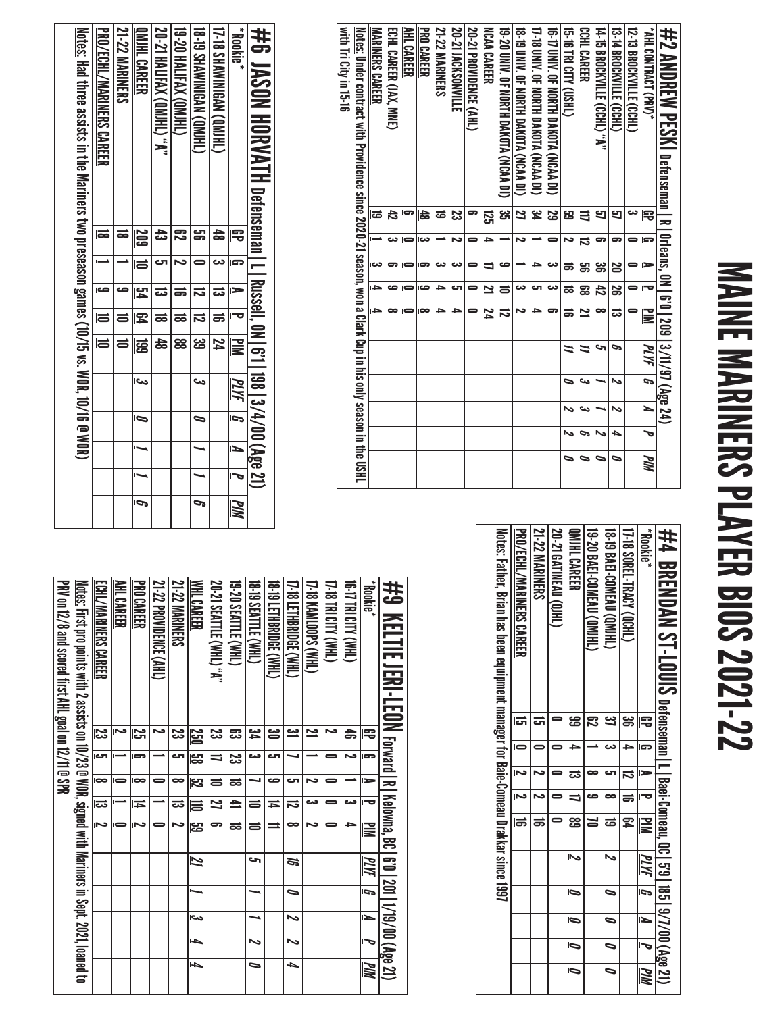# MAINE MARINERS PLAYER BIOS 2021-22 MAINE MARINERS PLAYER BIOS 2021-22

| #2 AMDREW PESKI Defenseman I R   01/eans, 0N   6'0   209   3/11/97 (Age 24)                                       |               |                         |                |                |                         |    |     |     |   |            |
|-------------------------------------------------------------------------------------------------------------------|---------------|-------------------------|----------------|----------------|-------------------------|----|-----|-----|---|------------|
| "NHL CONTRACT (PRV)*                                                                                              | 閂             | G                       | $\Rightarrow$  | ᅮ              | <b>NIK</b>              | ЫW | ſ,  | И   | 宝 | <b>PIM</b> |
| 12-13 BROCKVILLE (CCHL)                                                                                           | دى            | 0                       | 0              | 0              |                         |    |     |     |   |            |
| 13-14 BROCKVILLE (CCHL)                                                                                           | 9             | 5                       | 20             | జ              | ಪ                       | ь  | N   | N   | ▲ | 0          |
| 14-15 BROCKNILLE (CCHL) -**                                                                                       | 9             | 5                       | ఴ              | 42             | ∞                       | حە |     |     | N | ∍          |
| <b>CCHL CAREER</b>                                                                                                | 闫             | $\overline{\mathbf{u}}$ | မ္မာ           | န္ထ            | $\overline{\mathbf{z}}$ | N  | اتى | احد | P | D          |
| <b>THIS IN CITY (USHL)</b>                                                                                        | ဌ             | N                       | ಹ              | ಹ              | ಹ                       | 2  | 0   | N   | N | 0          |
| 16-17 CMV. OF NORTH DAKOTA (NCAA DI)                                                                              | S             | 0                       | دە             | دى             | 5                       |    |     |     |   |            |
| 17-18 DNIV. OF NORTH DAKOTA (NCAA DI)                                                                             | يو<br>4       |                         | ᆋ              | రా             | →                       |    |     |     |   |            |
| 18-19 CMV. OF NORTH DAKOTA (NCAA DI)                                                                              | Z             | د                       |                | دى             | N                       |    |     |     |   |            |
| 19-20 DNN. OF NORTH DAKOLA (NCAN DI)                                                                              | یب<br>ان      |                         | ص              | ᆯ              | ನ                       |    |     |     |   |            |
| <b>NCAA CAREER</b>                                                                                                | <b>125</b>    |                         | $\overline{a}$ | $\mathbf{z}$   | 74                      |    |     |     |   |            |
| 20-21 PROVIDENCE (AHL)                                                                                            | 5             | 0                       | 0              | 0              |                         |    |     |     |   |            |
| <b>20-21 JACKSONVILLE</b>                                                                                         | ಜ             | د٦                      | دە             | టా             | د                       |    |     |     |   |            |
| 21-22 MARINERS                                                                                                    | ಹ             |                         | دے             | ᆋ              | ∍                       |    |     |     |   |            |
| <b>PRO CAREER</b>                                                                                                 | $\frac{4}{3}$ | دى                      | 5              | ص              | $\infty$                |    |     |     |   |            |
| AHL CAREER                                                                                                        | ဓာ            | $\blacksquare$          | $\blacksquare$ | $\blacksquare$ |                         |    |     |     |   |            |
| ECHL CAREER (JAX, MNE)                                                                                            | $\frac{4}{5}$ | دى                      | 5              | ص              | $\infty$                |    |     |     |   |            |
| <b>MARINERS CAREER</b>                                                                                            | ಡ             |                         | دما            | <sup>-</sup>   | 4                       |    |     |     |   |            |
| <u>Notes:</u> Under contract with Providence since 2020-21 season, won a Clark Cup in his only season in the USHL |               |                         |                |                |                         |    |     |     |   |            |
| with Tri City in 15-16                                                                                            |               |                         |                |                |                         |    |     |     |   |            |
|                                                                                                                   |               |                         |                |                |                         |    |     |     |   |            |

| *Bookie*                         | 宅          | G | $\triangleright$ | $\overline{\mathbf{v}}$ | $\gtrapprox$  | $\overline{\mathbb{M}}$ |   | N | J | WM |
|----------------------------------|------------|---|------------------|-------------------------|---------------|-------------------------|---|---|---|----|
| 17-18 SHAWINIGAN (QMJHL)         |            |   |                  | ಹ                       |               |                         |   |   |   |    |
| <b>18-DO SHAWININGAN (OMIHL)</b> |            |   |                  | ದ                       | دە<br>ما      | S                       |   |   |   | P  |
| <b>19-20 HALIFAX (QMJHL)</b>     |            |   |                  | ಹ                       | 88            |                         |   |   |   |    |
| "A" (OMIHAX (OMIHL)              |            |   |                  |                         |               |                         |   |   |   |    |
| <u>QMIHL CAREER</u>              |            |   |                  | ಹ                       | $\frac{4}{5}$ |                         |   |   |   |    |
| <b>21-22 MARINERS</b>            | <u>209</u> | I | $\overline{5}$   | $\overline{P}$          | 冨             | احى                     | b |   |   | Ģ  |
| <b>PRO/ECHL/MARINERS CAREER</b>  |            |   | صه               |                         |               |                         |   |   |   |    |

| #4 BRENDAN ST-LOUIS Defenseman I-I Baei-Comeau, 00.15'0.18519/7/00 (Age 21)               |           |   |           |               |                         |      |   |   |                          |            |
|-------------------------------------------------------------------------------------------|-----------|---|-----------|---------------|-------------------------|------|---|---|--------------------------|------------|
| <b>Rookie</b> *                                                                           |           | E | Þ         |               | $\overline{\mathbf{z}}$ | PLIK | G | N |                          | <b>PIM</b> |
| 17-18 SOREL-TRACY (QCHL)                                                                  |           |   | ದ         | $\Rightarrow$ | ፰                       |      |   |   |                          |            |
| <b>18-19 BAEI-COMEAU (QMIHL)</b>                                                          | <u>ین</u> |   | cл        |               | ಹ                       | N    | ⋼ | D | $\overline{\phantom{0}}$ | $\bullet$  |
| <b>THIND) NEW COMERO (GMIHI</b>                                                           |           |   | $\bullet$ | ص             |                         |      |   |   |                          |            |
| QMIHL CAREER                                                                              | န္မ       |   | ಡ         | E             | န္ထ                     | ⋗    | Ō | Ō | Ō                        | Ō          |
| 20-21 GATINEAU (QIHL)                                                                     |           |   |           |               |                         |      |   |   |                          |            |
| <b>21-22 MARINERS</b>                                                                     |           |   |           |               | ᇹ                       |      |   |   |                          |            |
| <b>PRO/ECHL/MARINERS CAREER</b>                                                           | ದ         |   | Ñ         |               | 1                       |      |   |   |                          |            |
| <u>Notes:</u> Father, Brian has been equipment manager for Baie-Comeau Drakkar since 1997 |           |   |           |               |                         |      |   |   |                          |            |
|                                                                                           |           |   |           |               |                         |      |   |   |                          |            |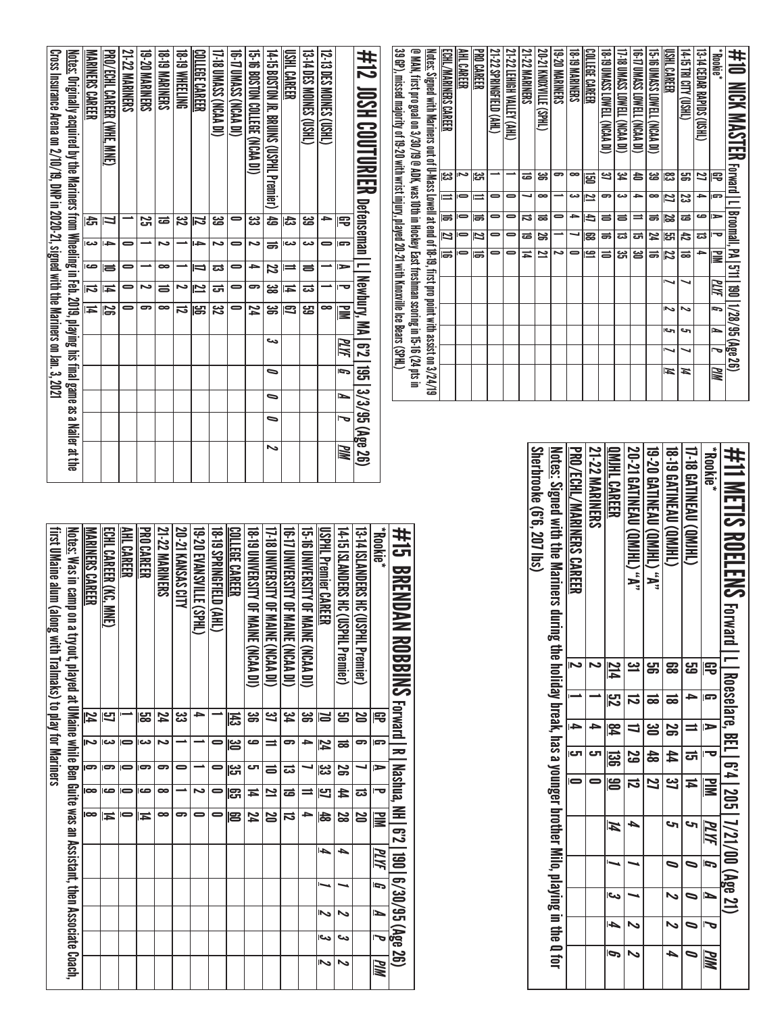| <b>21-22 MARINERS</b> | <b>19-20 MARINERS</b> | <b>SHINNERS</b> | <b>DNTEETING</b> | COLLEGE CAREER | 17-18 UMASS (NCAA DI) | 16-T UMASS (NCAA DI) | 15-10 DONO COLLEGE (NCAA DI) | $4 - 15$<br><b>BOSTON JR.</b><br><b>BRUINS (USPHL Premier)</b> | <b>TSHL</b><br><b>CAREER</b> | <b>13-TA DES MOINES</b><br>$\widetilde{\mathbb{H}}$ | 12-13 DES MOINES (USHL) |           | #12<br>JOSH COUTURIER | 39 GP), missed majority of 19-20 with wrist injury, played 20-21 with Knoxville Ice Bears (SPHL) | @ MAN, first pro goal on 3/30/19 @ ADK, was 10th in Hockey East freshman scoring in 15-16 (24 pts in | <u>Notes:</u> Signed with Mariners out of U-Mass Lowell at end of 18-19, first pro point with assist on 3/24/19 | ECHL/MARINERS CAREER<br>یع∥<br>$\equiv$ | AHL CAREER<br>ىم<br>0 | <b>PRO CAREER</b><br>ین<br>ات | 21-22 SPRINGFIELD (AHL)<br>$\Rightarrow$ | 21-22 LEHIGH VALLEY (AHL)<br>⊸<br>0 | <b>21-22 MARINERS</b><br>ಹ<br>┙ | 20-21 KNOXYVILLE<br>(CRHL)<br>ఙ<br>$\infty$ | <b>19-20 MARINERS</b><br>ౚ<br>∸ | <b>18-19 MARINERS</b><br>$\bullet$<br>دے | COLLEGE CAREER<br>뎡<br>یے | <b>18-19 UMASS LOWELL (NCAA DI)</b><br>یے<br>౼ | 17-18 UMASS LOWELL (NCAA DI)<br>ئع<br>4<br>دے | <b>(IQ ACA) LEWEL (NCAA DI)</b><br>合<br>→ | 15-TO UMASS LOWELL (NCAA DI)<br>జ<br>$\bullet$ | <b>USHL CAREER</b><br>జ<br>Ľ | 14:15 TRI CITY (USHL)<br>ஜ<br>జ | 13-T4 CEDAR RAPIDS (USHL)<br>Z<br>→ | "Blookie"<br>閂<br>$\overline{ }$ | #10<br><b>NEX</b><br><b>NASPIER</b><br><b>Forward</b>   L |  |
|-----------------------|-----------------------|-----------------|------------------|----------------|-----------------------|----------------------|------------------------------|----------------------------------------------------------------|------------------------------|-----------------------------------------------------|-------------------------|-----------|-----------------------|--------------------------------------------------------------------------------------------------|------------------------------------------------------------------------------------------------------|-----------------------------------------------------------------------------------------------------------------|-----------------------------------------|-----------------------|-------------------------------|------------------------------------------|-------------------------------------|---------------------------------|---------------------------------------------|---------------------------------|------------------------------------------|---------------------------|------------------------------------------------|-----------------------------------------------|-------------------------------------------|------------------------------------------------|------------------------------|---------------------------------|-------------------------------------|----------------------------------|-----------------------------------------------------------|--|
|                       | 25                    | ಹ               | జ                | Z              | జ                     | $\blacksquare$       | జ                            | 숩                                                              | 氐                            | జ                                                   | →                       | 厇         | Defenseman            |                                                                                                  |                                                                                                      |                                                                                                                 | ಹ                                       | -                     | 15                            | $\bullet$                                | 0                                   | ವ                               | ಹ                                           | 0                               | →                                        | E                         | $\equiv$                                       | ᇹ                                             | $\equiv$                                  | ಹ                                              | <u>ន</u>                     | ಹ                               | صه                                  | ≔                                | Broomall,                                                 |  |
| 0                     |                       | ىح              |                  | ᆋ              | ىح                    | $\bullet$            | مہ                           | ಹ                                                              | دم                           | دى                                                  | $\bullet$               | e         |                       |                                                                                                  |                                                                                                      |                                                                                                                 | 21                                      | 0                     | 12                            | $\bullet$                                | 0                                   | ಹ                               | ౚ                                           |                                 | ┙                                        | 183                       | ಹ                                              | ದ                                             | ᇘ                                         | И                                              | ]                            | 忐                               | ವ                                   | ত                                |                                                           |  |
|                       |                       |                 |                  |                |                       |                      |                              |                                                                |                              |                                                     |                         |           |                       |                                                                                                  |                                                                                                      |                                                                                                                 | ᆕ                                       |                       | las                           | $\Rightarrow$                            | 0                                   | $\Rightarrow$                   | 2                                           | د٦                              | $\bullet$                                | <u>ڪ </u>                 | $\Rightarrow$                                  | ಜ                                             | ൠ                                         | ಹ                                              | 12                           | ಹ                               | <sup>-</sup>                        | 곻                                | ے۔<br>ا                                                   |  |
| 0                     |                       | $\bullet$       |                  | ⇒              | ದ                     | 0                    | ⇒                            | 22                                                             | ⋍                            | ᇹ                                                   |                         | ►         | $\blacksquare$        |                                                                                                  |                                                                                                      |                                                                                                                 |                                         |                       |                               |                                          |                                     |                                 |                                             |                                 |                                          |                           |                                                |                                               |                                           |                                                |                              |                                 |                                     |                                  | $\overline{\Xi}$                                          |  |
| $\bullet$             | د                     | $\equiv$        | مہ               | <u>~</u>       | ᇘ                     | 0                    | ౼                            | జ                                                              | Ħ                            | ವ                                                   |                         | Ō         |                       |                                                                                                  |                                                                                                      |                                                                                                                 |                                         |                       |                               |                                          |                                     |                                 |                                             |                                 |                                          |                           |                                                |                                               |                                           |                                                |                              |                                 |                                     | ИΝ                               | $\overline{\mathbf{5}}$                                   |  |
| 0                     | ౼                     | $\bullet$       | ದ                | ൠ              | జ                     | $\Rightarrow$        | 24                           | ၼ                                                              | E.                           | ස                                                   | $\bullet$               | ≣         | Newbury, MA           |                                                                                                  |                                                                                                      |                                                                                                                 |                                         |                       |                               |                                          |                                     |                                 |                                             |                                 |                                          |                           |                                                |                                               |                                           |                                                | Ż                            | ∾                               |                                     | G                                |                                                           |  |
|                       |                       |                 |                  |                |                       |                      |                              |                                                                |                              |                                                     |                         |           |                       |                                                                                                  |                                                                                                      |                                                                                                                 |                                         |                       |                               |                                          |                                     |                                 |                                             |                                 |                                          |                           |                                                |                                               |                                           |                                                | احى                          | حہ                              |                                     | ≃                                |                                                           |  |
|                       |                       |                 |                  |                |                       |                      |                              | دے                                                             |                              |                                                     |                         | <u>РИ</u> | <u>ក្ខា</u>           |                                                                                                  |                                                                                                      |                                                                                                                 |                                         |                       |                               |                                          |                                     |                                 |                                             |                                 |                                          |                           |                                                |                                               |                                           |                                                |                              |                                 |                                     | ত                                | 1/28/95 (Age 26)                                          |  |
|                       |                       |                 |                  |                |                       |                      |                              | ∍                                                              |                              |                                                     |                         | G         | ទ្ធ                   |                                                                                                  |                                                                                                      |                                                                                                                 |                                         |                       |                               |                                          |                                     |                                 |                                             |                                 |                                          |                           |                                                |                                               |                                           |                                                | И                            | И                               |                                     | ЖМ                               |                                                           |  |
|                       |                       |                 |                  |                |                       |                      |                              | $\bullet$                                                      |                              |                                                     |                         | ►         | 3/3                   |                                                                                                  |                                                                                                      |                                                                                                                 |                                         |                       |                               |                                          |                                     |                                 |                                             |                                 |                                          |                           |                                                |                                               |                                           |                                                |                              |                                 |                                     |                                  |                                                           |  |
|                       |                       |                 |                  |                |                       |                      |                              |                                                                |                              |                                                     |                         |           |                       |                                                                                                  |                                                                                                      |                                                                                                                 |                                         |                       |                               |                                          |                                     |                                 |                                             |                                 |                                          |                           |                                                |                                               |                                           |                                                |                              |                                 |                                     |                                  |                                                           |  |

| #11 METIS ROELENS Forward   L   Roeselare, BEL   6'4   205   7/21/00 (Age 21)                                     |                  |                |               |                |              |                     |                    |                          |                          |     |
|-------------------------------------------------------------------------------------------------------------------|------------------|----------------|---------------|----------------|--------------|---------------------|--------------------|--------------------------|--------------------------|-----|
| <b>Rookie</b> *                                                                                                   |                  | $\overline{c}$ | E             | o              | $\mathbf{E}$ | PLYF                | $\overline{\bf 5}$ | N                        |                          | PIM |
| 17-18 GATINEAU (QMJHL)                                                                                            | <mark>ය</mark>   | ے              |               | <u>ਰ</u>       | Ħ            | حه                  | ∍                  |                          |                          |     |
| <b>18-19 GATINEAU (QMJHL)</b>                                                                                     |                  | ಹ              | S             | #              | ین           | S                   | $\bullet$          | $\overline{\phantom{0}}$ | $\overline{\phantom{0}}$ | Þ   |
| 19-20 GATINEAU (QMJHL) "A"                                                                                        | පු<br>ප          | ಹ              | _<br>ಅ        | $\frac{1}{48}$ | 2            |                     |                    |                          |                          |     |
| <b>20-21 GATINEAU (QMJHL) "A"</b>                                                                                 | <u>س</u>         | ನ              |               | <u>یع</u>      | ದ            | 4                   |                    |                          | ゝ                        | ゝ   |
| QMJHL CAREER                                                                                                      | $\frac{214}{11}$ | ಗ್ರ            | $\frac{8}{4}$ | <u>ន្</u> ជ    | ခြ           | $\overline{\bm{z}}$ |                    | احى                      | l-Da                     | Ģ   |
| <b>21-22 MARINERS</b>                                                                                             |                  |                |               | ౮              |              |                     |                    |                          |                          |     |
| PRO/ECHL/MARINERS CAREER                                                                                          | د١               |                |               | ת              |              |                     |                    |                          |                          |     |
| <u>Notes:</u> Signed with the Mariners during the holiday break, has a younger brother Milo, playing in the Q for |                  |                |               |                |              |                     |                    |                          |                          |     |
| Sherbrooke (6'6, 207 lbs)                                                                                         |                  |                |               |                |              |                     |                    |                          |                          |     |

| Cross Insurance Arena on 2/10/19, DNP in 2020-21, signed with the Mariners on 13, 2021 | <u>Notes:</u> Originally acquired by the Mariners from Wheeling in Feb. 2019, playing his final game as a Nailer at the | MARINERS CAREER    | <b>PRO/CELL CARER (WHE. MNE)</b> | <b>21-22 MARINERS</b> | <b>19-20 NARINERS</b> | <b>G-19 MARINERS</b> | <b>BNTEETING</b> | COLLEGE CAREER | 17-18 UMASS (NCAA DI) | <b>16-TJ UMASS (NCAA DI)</b> | 51-5 BOSTON COLLEGE (NCAN DI) | 14-15 BOSTON JR. BRUINS (USPHL Premier) | USHL CAREER | <b>CHRSO STANDINES (OSHL)</b> | 12-13 DES MONES (USHL) |               | #12_00H COUTURIER petenseman I I Newhury, MA 16'2 1195 13/3/95 (Age 26) |
|----------------------------------------------------------------------------------------|-------------------------------------------------------------------------------------------------------------------------|--------------------|----------------------------------|-----------------------|-----------------------|----------------------|------------------|----------------|-----------------------|------------------------------|-------------------------------|-----------------------------------------|-------------|-------------------------------|------------------------|---------------|-------------------------------------------------------------------------|
|                                                                                        |                                                                                                                         | đ                  |                                  |                       | Σ,                    | ಹ                    | <u>ین</u>        |                | జ                     |                              | జ                             | 푾                                       | ಚಿ          | జ                             |                        | 宅             |                                                                         |
|                                                                                        |                                                                                                                         | دے                 | ÷                                |                       |                       |                      |                  | ÷              |                       |                              |                               | ಹ                                       | دے          | دے                            |                        | G             |                                                                         |
|                                                                                        |                                                                                                                         | ص                  | la                               |                       |                       | œ                    |                  | 5              | ದ                     |                              | ٠                             | Z                                       |             | ᆯ                             |                        | $\Rightarrow$ |                                                                         |
|                                                                                        |                                                                                                                         | IJ                 | щ                                |                       | N                     | ᇹ                    | د                | Ľ              | ದ                     |                              | 5                             | జ                                       | ≖           | ವ                             |                        |               |                                                                         |
|                                                                                        |                                                                                                                         | $\overline{\bf 1}$ | န္တ                              | 0                     | 5                     | œ                    | ದ                | မ္မာ           | <u>یع</u>             |                              | 24                            | ఴ                                       | 3           | <mark>ය</mark>                | ∞                      | 긓             |                                                                         |
|                                                                                        |                                                                                                                         |                    |                                  |                       |                       |                      |                  |                |                       |                              |                               | دے                                      |             |                               |                        | ИW            |                                                                         |
|                                                                                        |                                                                                                                         |                    |                                  |                       |                       |                      |                  |                |                       |                              |                               | 0                                       |             |                               |                        | IJ            |                                                                         |
|                                                                                        |                                                                                                                         |                    |                                  |                       |                       |                      |                  |                |                       |                              |                               | ∍                                       |             |                               |                        | И             |                                                                         |
|                                                                                        |                                                                                                                         |                    |                                  |                       |                       |                      |                  |                |                       |                              |                               | 0                                       |             |                               |                        |               |                                                                         |
|                                                                                        |                                                                                                                         |                    |                                  |                       |                       |                      |                  |                |                       |                              |                               | ゝ                                       |             |                               |                        | PM            |                                                                         |

| #15 BRENDAN ROBBINS Forward I RI Nashua, NH 162119016/30/95 (Age 26)                                            |          |                |          |                |               |    |   |   |     |            |
|-----------------------------------------------------------------------------------------------------------------|----------|----------------|----------|----------------|---------------|----|---|---|-----|------------|
| <b>Rookie</b> *                                                                                                 | 宅        | <b>G</b>       | ►        | ⊢              | <b>NIK</b>    | MИ | ŋ | Ŀ |     | <b>PIM</b> |
| 13-14 ISLANDERS HC (USPHL Premier)                                                                              | N        | 5              |          | ದ              | N             |    |   |   |     |            |
| 14-15 ISLANDERS HC (USPHL Premier)                                                                              | ഋ        | ಹ              | S        | #              | 8<br>8        | 4  |   | N | دە  |            |
| <b>USPHL Premier CAREER</b>                                                                                     | ð        | 74             | یں<br>دن | 57             | $\frac{4}{8}$ | ⊌  |   | へ | دما | ↖          |
| 15-16 CMYERSHTY OF MANE (NCAN DI)                                                                               | ఴ        | 4              |          | ⋍              |               |    |   |   |     |            |
| 16-17 CNNERSITY OF MANNE (NCAP DI)                                                                              | یو<br>4  | 5              | ಪ        | ಹ              | ನ             |    |   |   |     |            |
| <b>17-18 CNNEWSTLY OF MAINE (NCAN DI)</b>                                                                       | ݺ        |                | $\equiv$ | 2              | 20            |    |   |   |     |            |
| <b>18. INIVERSITY OF MAINE (VCAA DI)</b>                                                                        | ఴ        | حه             | دت       | Ħ              | 24            |    |   |   |     |            |
| COLLEGE CAREER                                                                                                  | 뉺        | ఆ              | ಜ        | ဌာ             | ဠ             |    |   |   |     |            |
| <b>SPRINGETELD (AHL)</b>                                                                                        |          | 0              | 0        | 0              |               |    |   |   |     |            |
| 19-20 EVANSVILLE (SPHL)                                                                                         | ∍        |                |          | ىم             |               |    |   |   |     |            |
| 20-21 KANSAS CITY                                                                                               | دى<br>دى |                | -        |                | 5             |    |   |   |     |            |
| 21-22 MARINERS                                                                                                  | 74       | N              | 5        | $\bullet$      | ∞             |    |   |   |     |            |
| <b>PRO CAREER</b>                                                                                               | မ္ထာ     | دے             | 5        | ص              | ц             |    |   |   |     |            |
| AHL CAREER                                                                                                      |          | $\blacksquare$ |          | $\blacksquare$ |               |    |   |   |     |            |
| <b>ECHL CAREER (KC. MNE)</b>                                                                                    | 9        | دے             | 5        | ص              | ц             |    |   |   |     |            |
| MARINERS CAREER                                                                                                 | 74       | Z              | ဓာ       | $\infty$       | $\infty$      |    |   |   |     |            |
| <u>Notes:</u> Was in camp on a tryout, played at UMaine while Ben Guite was an Assistant, then Associate Coach, |          |                |          |                |               |    |   |   |     |            |
| first UMaine alum (along with Tralmaks) to play for Mariners                                                    |          |                |          |                |               |    |   |   |     |            |
|                                                                                                                 |          |                |          |                |               |    |   |   |     |            |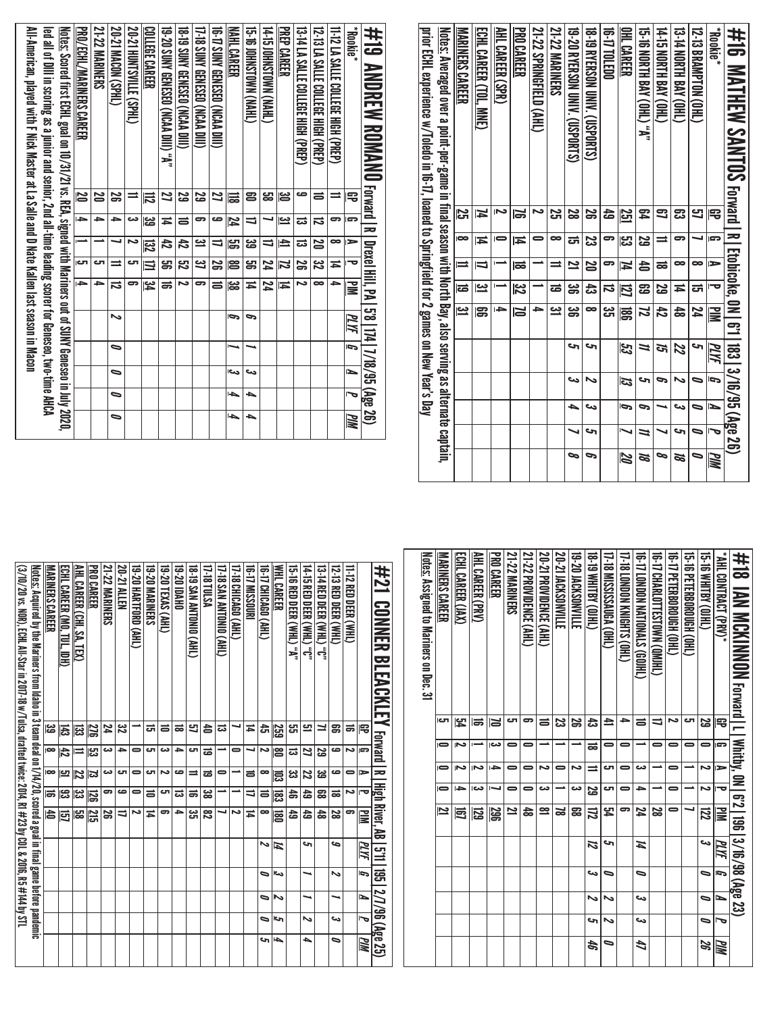| ## 16 MATHEW SANT0S rexact                                                                                      |           |                         |                          |                         | R Etobicoke, 0N   6'1   183   3/16/95 (Age 26) |      |    |    |    |          |
|-----------------------------------------------------------------------------------------------------------------|-----------|-------------------------|--------------------------|-------------------------|------------------------------------------------|------|----|----|----|----------|
| <b>Acokie</b>                                                                                                   | 雩         | G                       | $\Rightarrow$            |                         | ≧                                              | PLYF | Ī, | Ŀ  | 宝  | MМ       |
| 12-13 BRAMPTON (OHL)                                                                                            | 5         |                         | ∞                        | ದ                       | 24                                             | S    | 5  | 0  | ∍  | ≈        |
| <b>13-T4 NORTH BAY (OHL)</b>                                                                                    | ఔ         | 5                       | $\bullet$                | ≖                       | 48                                             | 22   | ゝ  | دى | c  | Ø        |
| <b>THE NABILIBAY COHE</b>                                                                                       | 3         | $\equiv$                | ಹ                        | S                       | 42                                             | ដ    | P  |    |    | 9        |
| 15-16 NORTH BAY (OHL) "A"                                                                                       | P.        | 5g                      | 4                        | සි                      | Z                                              | 11   | حہ | P  | 11 | N        |
| <b>OHL CAREER</b>                                                                                               | 251       | ပ္ပာ                    | $\overline{1}$           | 121                     | ន្ល                                            | 53   | 53 | Ģ  | ↖  | <b>Z</b> |
| <b>16-17 TOLEDO</b>                                                                                             | 숩         | ິ                       | 5                        | ನ                       | دە<br>ئ                                        |      |    |    |    |          |
| <b>18-19 BYERSON UNIV. (USPORTS)</b>                                                                            | S         | ಜ                       | $\overline{\mathbf{S}}$  | 츊                       | $\infty$                                       | c    | N  | دے | c  | P        |
| 19-20 RYERSON UNIV. (USPORTS)                                                                                   | S         | ಪ                       | $\overline{\mathbf{z}}$  | ಜ                       | ఴ                                              | c    | دے | ▲  |    | ∞        |
| 21-22 MARINERS                                                                                                  | <u>یہ</u> | ∞                       | ⋍                        | ಹ                       | <u>يە</u>                                      |      |    |    |    |          |
| 21-22 SPRINGFIELD (AHL)                                                                                         | N         |                         |                          |                         | 4                                              |      |    |    |    |          |
| <b>PRO CAREER</b>                                                                                               | ă         | И                       | ಹ                        | $\overline{\mathbf{3}}$ | $\overline{\mathsf{N}}$                        |      |    |    |    |          |
| <b>AHL CAREER (SPR)</b>                                                                                         |           |                         |                          |                         | دا                                             |      |    |    |    |          |
| ECHL CAREER (TOL, MNE)                                                                                          | Ħ         | Ħ                       | $\overline{\phantom{0}}$ | <u>س</u>                | g                                              |      |    |    |    |          |
| MARINERS CAREER                                                                                                 | Σ,        | $\overline{\mathbf{c}}$ | ≐                        | ಹ                       | <u>س</u>                                       |      |    |    |    |          |
| <u>Notes:</u> Averaged over a point-per-game in final season with North Bay, also serving as alternate captain, |           |                         |                          |                         |                                                |      |    |    |    |          |
| prior ECHL experience w/Toledo in 16-17, loaned to Springfield for 2 games on New Year's Day                    |           |                         |                          |                         |                                                |      |    |    |    |          |

| All-American, played with F Nick Master at La Salle and D Nate Kallen last season in Macon | led all of Dill in scoring as a junior and senior, 2nd all-time leading scorer for Geneseo, two-time AHCA | <u>Notes:</u> Scored first ECHI, goal on 10/31/21 vs. REA, signed with Mariners out 6 SUNY Geneseo in July 2020, | PRO/ECHL/MARINERS CAREER | <b>21-22 MARINERS</b> | 20-21 MACDN (SPHL)       | 20-21 HUNTSVILLE (SPHL) | COLLEGE CAREER | 19-20 SUNY GENESEO (NCAA DIII) "A" | 18-19 SUNY GENESED (NCAA DIII) | 17-18 SUNY GENESED (NCAA DIII) | <b>10-17 SUNY GENESED (NCAA DIL)</b> | NAHL CAREER | GI-SI-SINGUANG (NHA) | (THYN) NAOLSNHOI SI +1 | <b>PREP CAREER</b> | 13-14 LA SALLE COLLEGE HIGH (PREP) | 12-T3 LA SALLE COLLEGE HIGH (PREP) | 11-12 LA SALLE COLLEGE HIGH (PREP) | <b>Rookie</b> * |  |
|--------------------------------------------------------------------------------------------|-----------------------------------------------------------------------------------------------------------|------------------------------------------------------------------------------------------------------------------|--------------------------|-----------------------|--------------------------|-------------------------|----------------|------------------------------------|--------------------------------|--------------------------------|--------------------------------------|-------------|----------------------|------------------------|--------------------|------------------------------------|------------------------------------|------------------------------------|-----------------|--|
|                                                                                            |                                                                                                           |                                                                                                                  | N                        | 29                    | æ                        | ⋍                       | 局              | 2                                  | 53                             | 53                             | Z                                    | 긂           | පු                   | జ                      | ఆ                  | ص                                  | ᇹ                                  | ⋍                                  | 宅               |  |
|                                                                                            |                                                                                                           |                                                                                                                  | ⋤                        | ᆋ                     | د                        | دے                      | ಜ              | Ħ                                  | $\equiv$                       | 5                              | صه                                   | 74          | $\overline{a}$       |                        | یے                 | ವ                                  | ವ                                  | 5                                  | G               |  |
|                                                                                            |                                                                                                           |                                                                                                                  | $\rightarrow$            |                       |                          | Z                       | <u>ន្</u> រ    | ਨੋ                                 | ਲੇ                             | <u>يت</u>                      | ╛                                    | မ္မာ        | జ                    | ⇒                      | 크                  | ದ                                  | S                                  | œ                                  | $\Rightarrow$   |  |
|                                                                                            |                                                                                                           |                                                                                                                  | cл                       | دت                    |                          | cл                      | $\equiv$       | <mark>ය</mark> ු                   | 3                              | <u>ین</u>                      | జ                                    | g           | <mark>ය</mark> ු     | 74                     | Z                  | S                                  | <u>ین</u>                          | Ħ                                  | ত               |  |
|                                                                                            |                                                                                                           |                                                                                                                  | Ł                        |                       | ನ                        |                         | ہے<br>ح        | ಹ                                  | N                              | 5                              | ᇹ                                    | జ           | E,                   | 74                     | Ħ                  |                                    | ∞                                  | ÷                                  | ≧               |  |
|                                                                                            |                                                                                                           |                                                                                                                  |                          |                       | N                        |                         |                |                                    |                                |                                |                                      | b           | c                    |                        |                    |                                    |                                    |                                    | PLYF            |  |
|                                                                                            |                                                                                                           |                                                                                                                  |                          |                       | $\overline{\phantom{0}}$ |                         |                |                                    |                                |                                |                                      |             |                      |                        |                    |                                    |                                    |                                    | ŋ               |  |
|                                                                                            |                                                                                                           |                                                                                                                  |                          |                       | $\overline{\phantom{0}}$ |                         |                |                                    |                                |                                |                                      | دما         | دە                   |                        |                    |                                    |                                    |                                    | É               |  |
|                                                                                            |                                                                                                           |                                                                                                                  |                          |                       | $\overline{\phantom{0}}$ |                         |                |                                    |                                |                                |                                      | ↳           | ▲                    |                        |                    |                                    |                                    |                                    | Į               |  |
|                                                                                            |                                                                                                           |                                                                                                                  |                          |                       | ۰                        |                         |                |                                    |                                |                                |                                      | ↳           | ┶                    |                        |                    |                                    |                                    |                                    | MМ              |  |

| <u>Notes:</u> Assigned to Mariners on Dec. 31 | <b>MARINERS CAREER</b><br>cл<br>-<br>0<br>12 | ECHL CAREER (JAX)<br>内<br>دءا<br>Ñ<br>4<br>同 | <b>AHL CAREER (PRV)</b><br>la<br>N<br>دما<br>図 | <b>PRO CAREER</b><br><b>≥</b><br>دما<br>i din<br><b>296</b> | <b>21-22 MARINERS</b><br>ى<br>0<br>=<br>0<br>$\overline{z}$ | 21-22 PROVIDENCE (AHL)<br>5<br>0<br>ढ़ | 20-21 PROVIDENCE (AHL)<br>ᆯ<br>N<br>دے<br>≌ | 20-21 JACKSONVILLE<br>ಜ<br>ವ | 19-20 JACKSONVILLE<br>S<br>N<br>دے<br>జె | <b>CHID) ABLIHM 61-81</b><br>ಹ<br>ಹ<br>5g<br>12 | T-18 MISSISSINGA (OHL)<br>≞<br>-<br>ى<br>ى<br>54 | 17-18 LONDON KNIGHTS (OHL)<br>ᆋ<br>0<br>-<br>0<br>5 | 10-17 LONDON NATIONALS (GOJHL)<br>$\equiv$<br>دى<br>≏<br>24 | 15-17 CHARLOTTESTOWN (OM)HL)<br>⋍<br>S | 19-17 PETERBOROCEN(OHI)<br>د٦<br>0<br>0<br>0 | <b>CHICRBOROUGH COLLS</b><br>రా | <b>CHIRA GIHLS</b><br>53<br>N<br>N<br>122 | "AHL CONTRACT (PRV)*<br>雩<br>G<br>E<br>ъ<br>l≣ |  |
|-----------------------------------------------|----------------------------------------------|----------------------------------------------|------------------------------------------------|-------------------------------------------------------------|-------------------------------------------------------------|----------------------------------------|---------------------------------------------|------------------------------|------------------------------------------|-------------------------------------------------|--------------------------------------------------|-----------------------------------------------------|-------------------------------------------------------------|----------------------------------------|----------------------------------------------|---------------------------------|-------------------------------------------|------------------------------------------------|--|
|                                               |                                              |                                              |                                                |                                                             |                                                             |                                        |                                             |                              |                                          |                                                 |                                                  |                                                     |                                                             |                                        |                                              |                                 |                                           |                                                |  |
|                                               |                                              |                                              |                                                |                                                             |                                                             |                                        |                                             |                              |                                          | И                                               | حہ                                               |                                                     | И                                                           |                                        |                                              |                                 | دى                                        | PLYF                                           |  |
|                                               |                                              |                                              |                                                |                                                             |                                                             |                                        |                                             |                              |                                          | دى                                              | 0                                                |                                                     | ∍                                                           |                                        |                                              |                                 |                                           | 5                                              |  |
|                                               |                                              |                                              |                                                |                                                             |                                                             |                                        |                                             |                              |                                          | ぃ                                               | ∾                                                |                                                     | دى                                                          |                                        |                                              |                                 | ∍                                         | Ł                                              |  |
|                                               |                                              |                                              |                                                |                                                             |                                                             |                                        |                                             |                              |                                          | حە                                              | ∾                                                |                                                     | دے                                                          |                                        |                                              |                                 | ∍                                         | 宝                                              |  |
|                                               |                                              |                                              |                                                |                                                             |                                                             |                                        |                                             |                              |                                          | 46                                              |                                                  |                                                     | 47                                                          |                                        |                                              |                                 | 25                                        | PIN                                            |  |

|                                                                                                                          | 閂          | G  | ⋗       | 宝         | ⊯         | PLIYE | G  | Ł | J   | <b>MM</b> |
|--------------------------------------------------------------------------------------------------------------------------|------------|----|---------|-----------|-----------|-------|----|---|-----|-----------|
| 11-12 RED DEER (WHL)                                                                                                     | ಹ          | د٦ | 0       | N         | 9         |       |    |   |     |           |
| 12-13 RED DEER (WHL)                                                                                                     | ఞ          | ص  | ڡ       | ಹ         | ಜ         | مه    | N  |   | دى  | ∍         |
| <b>13-14 RED DEER (WHL) "0"</b>                                                                                          | ⊒          | 53 | یئ      | g         | 싫         |       |    |   |     |           |
| <b>14-15 RED DEER (WHL) "C"</b>                                                                                          | 므          | 2  | 22      | ස්        | 숩         | c     |    |   | یہ  | ь         |
| 15-16 RED DEER (WHL) "A"                                                                                                 | සූ         | ದ  | دع<br>د | ඝි        | ස්        |       |    |   |     |           |
| WHL CAREER                                                                                                               | <u>259</u> | ළ  | 层       | ్లణే      | 扈         | Ħ     | دے | る | احى | ┶         |
| THR) OBDCAHL) 11-91                                                                                                      | å          | د  | ∞       | 5         | $\bullet$ | Z     | ∍  | ∍ | ∍   | ౪         |
| 16-17 MISSOURI                                                                                                           | ≖          |    | ᇹ       | 4         | Ħ         |       |    |   |     |           |
| I7-18 CHICAGO (AHL)                                                                                                      |            |    |         |           | N         |       |    |   |     |           |
| I7-18 SAN ANTONIO (AHL)                                                                                                  | ದ          |    |         |           | ┙         |       |    |   |     |           |
| 17-18 TULSA                                                                                                              | â          | ಹ  | ಹ       | జ         | ౘ         |       |    |   |     |           |
| 18-19 SAN ANTONIO (AHL)                                                                                                  | ಼          | ى  | ⋍       | ಹ         | یئ        |       |    |   |     |           |
| 19-20 IDAHO                                                                                                              | ಹ          | ٠  | ڡ       | ದ         | ٠         |       |    |   |     |           |
| 19-20 TEXAS (AHL)                                                                                                        | ᇹ          | دے | N       | cл        | 5         |       |    |   |     |           |
| <b>19-20 MARINERS</b>                                                                                                    | ᇘ          | cл | cл      | ᇹ         | Ħ         |       |    |   |     |           |
| 19-20 HARTFORD (AHL)                                                                                                     |            | -  | -       | $\bullet$ | د٦        |       |    |   |     |           |
| 20-21 Allen                                                                                                              | జ          | ≏  | ال      | ص         | ╛         |       |    |   |     |           |
| 21-22 MARINERS                                                                                                           | 24         | دے | دے      | 5         | S         |       |    |   |     |           |
| PRO CAREER                                                                                                               | <b>276</b> | ಜ  | ಜ       | 忌         | 215       |       |    |   |     |           |
| AHL CAREER (CHI. SA. TEX)                                                                                                | ౙ          | ⋍  | 22      | یئ∥       | င္ထာ      |       |    |   |     |           |
| ECHL CAREER (MO, TUL, IDH)                                                                                               | 동          | 占  | 므       | ಜ         | 固         |       |    |   |     |           |
| <b>MARINERS CAREER</b>                                                                                                   | ین<br>ها   | lœ | œ       | ѭ         | lâ        |       |    |   |     |           |
| <u>Notes:</u> Acquired by the Mariners from Idabo in 3 team deal on 1/14/20, scored a goal in final game before pandemic |            |    |         |           |           |       |    |   |     |           |
| (3/10/20 vs. NOR), ECHL All-Star in 2007-18 w/Tulsa, drafted twice: 2014, R1 #23 by COL & 2016, R5 #144 by STL           |            |    |         |           |           |       |    |   |     |           |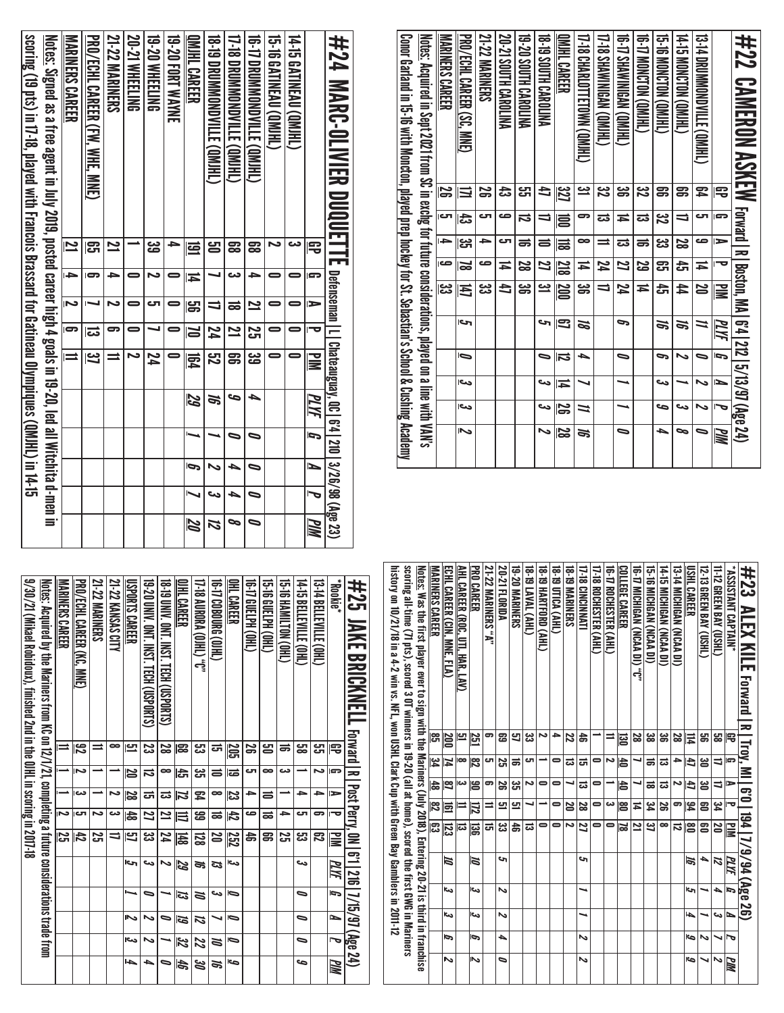| Conor Garland in 15-16 with Moncton, played prep hockey for St. Sebastian's School & Cushing Academy<br><u>Notes:</u> Acquired in Sept 2021 from SC in exchg for future considerations, played on a line with VAN's | S<br>rت<br>÷<br>ص<br>یں<br>ما | $\equiv$<br>ದೆ<br>မ္မာ<br>$\overline{\mathbf{z}}$<br>出<br>حا<br>Ō<br>احد<br>دے | ΩŚ<br>ى<br>۵<br>صه<br>یئ<br>دن | ದೆ<br>صه<br>دے<br>Ħ<br>4 | ಜ<br>ದ<br>ಹ<br>8<br>8<br>ఴ | đ<br>U<br>5<br>Z<br><u>س</u><br>حہ<br>$\bullet$<br>دے<br>دے | 32]<br>g<br>$\equiv$<br>218<br>$\overline{\text{200}}$<br>3<br>$\overline{\mathbf{5}}$<br>一<br>ນິ | <u>يت</u><br>ణ<br>∞<br>Ħ<br>ఴ<br>55<br>┶<br>N | 32<br>Z<br>ದ<br>$\equiv$<br>74<br>╛ | ఴ<br>Ħ<br>ಪ<br>Z<br>74<br>P<br>$\bullet$ | <u>ین</u><br>ಪ<br>ಹ<br>ಜ<br>≖ | ஐ<br><u>ین</u><br>پي<br>ဌာ<br>끉<br>æ<br>G<br>دے<br>S | g<br>$\Rightarrow$<br>S<br>đ<br>44<br>e,<br>ゝ<br>دے | ጄ<br>ى<br>ده<br>Ħ<br>20<br>=<br>$\overline{\phantom{0}}$<br>$\overline{\phantom{0}}$<br>$\overline{\phantom{0}}$ | 宅<br><b>G</b><br>ь<br>⊢<br>$\geq$<br>MИ<br>É | #22 CAMERON ASKEW Formal le premier of 25 (2/3/3/3/48e 24) |
|---------------------------------------------------------------------------------------------------------------------------------------------------------------------------------------------------------------------|-------------------------------|--------------------------------------------------------------------------------|--------------------------------|--------------------------|----------------------------|-------------------------------------------------------------|---------------------------------------------------------------------------------------------------|-----------------------------------------------|-------------------------------------|------------------------------------------|-------------------------------|------------------------------------------------------|-----------------------------------------------------|------------------------------------------------------------------------------------------------------------------|----------------------------------------------|------------------------------------------------------------|
|                                                                                                                                                                                                                     |                               | <b>MARINERS CAREER</b>                                                         | PRO/ECHL CAREER (SC, MNE)      | <b>21-22 MARINERS</b>    | 20-21 SOUTH CAROLINA       | <b>ALIORAC HTUR OS 0S-81</b>                                | <b>DISCRIPTION CARDLINA</b>                                                                       | QMIHL CAREER                                  | T7-18 CHARLOTTETOWN (QMIHL)         | <b>CHIND NPSINMENT</b>                   | 16-17 SHAWWINGAN (OMIHI)      | <b>(THIMO) NOTOM (THI)</b>                           | 15-16 MONCTON (QMIHL)                               | <b>THIND) NOLONGED!</b>                                                                                          | 13-14 DROMMONDVILLE (OMJHL)                  |                                                            |

| #24 MARC-0LVIER DUQUETTE australitical surver in the DUQUETTE australition of the DUQUETTE of the 23              |                         |    |                |                 |                         |      |                |    |           |            |
|-------------------------------------------------------------------------------------------------------------------|-------------------------|----|----------------|-----------------|-------------------------|------|----------------|----|-----------|------------|
|                                                                                                                   | ₽                       |    | $\blacksquare$ |                 | $\overline{\mathbf{u}}$ | PLYF | $\overline{a}$ | N  | $\bar{t}$ | <b>PIM</b> |
| 14-15 GATINEAU (QMJHL)                                                                                            |                         |    |                |                 |                         |      |                |    |           |            |
| <b>CHIMEAL (OMHL)</b>                                                                                             |                         |    |                |                 |                         |      |                |    |           |            |
| THE DROMAN SALLER OM HE COMPANY                                                                                   | g                       |    | $\mathbf{z}$   | $\overline{25}$ | డ్డ                     | ┶    | ∍              |    |           |            |
| U-18 DROMNOMIC (ONIHU)                                                                                            | <u>ස</u>                |    | ಹ              | $\overline{2}$  | ទ្រ                     | c    | ∍              |    |           |            |
| 18-19 DRONONONONO NO HI ON HI ON                                                                                  | ട്ട                     |    | ╛              | $\overline{54}$ | ភូ                      | S)   |                | ゝ  |           | 12         |
| <b>OMIHL CAREER</b>                                                                                               | ₫                       | Ħ  | <u>မှာ</u>     | $\mathbf{u}$    | <b>Fat</b>              | 59   |                | ھا |           | 20         |
| 19-20 FORT WAYNE                                                                                                  |                         |    |                | 0               |                         |      |                |    |           |            |
| <b>19-20 WHEELING</b>                                                                                             | دە<br>ھ                 |    | Sп             |                 | 74                      |      |                |    |           |            |
| <b>20-21 WHEELING</b>                                                                                             |                         |    |                |                 |                         |      |                |    |           |            |
| <b>21-22 MARINERS</b>                                                                                             | $\mathbf{z}$            |    |                | 5               |                         |      |                |    |           |            |
| <b>PRO/LCHIL CAREER (FW. WHE, MNE)</b>                                                                            | ဌာ                      |    |                | ಪ               | <u>ದ</u>                |      |                |    |           |            |
| <b>MARINERS CAREER</b>                                                                                            | $\overline{\mathbf{z}}$ | l÷ | N              | $\overline{5}$  | $\equiv$                |      |                |    |           |            |
| <u>Notes:</u> Signed as a free agent in July 2019, posted career high 4 goals in 19-20, led all Witchita d-men in |                         |    |                |                 |                         |      |                |    |           |            |
| scoring (19 pts) in 17-18, played with Francois Brassard for Gatineau Olympiques (QMJHL) in 14-15                 |                         |    |                |                 |                         |      |                |    |           |            |

| #23<br><b>NLEX XILE</b> rorsard lating, MI                                                                          |     |                         |               |                         | $\mid$ 6'0 $\mid$ 194 $\mid$ 7/9/94 (Age 26) |      |      |      |   |     |
|---------------------------------------------------------------------------------------------------------------------|-----|-------------------------|---------------|-------------------------|----------------------------------------------|------|------|------|---|-----|
| "NIAPTANI CAPTAIN"                                                                                                  | 閂   | G                       | ∍             | 宝                       | $\overline{\mathbf{z}}$                      | PLYF | g    | ↘    | 「 | PIM |
| 11-12 GREEN BAY (USH)                                                                                               | జ   | ⇉                       | ╛             | یو<br>4                 | 20                                           | И    | ┶    | دى   |   | ゝ   |
| 12 -13 GREEN BAY (USHL)                                                                                             | ஜ   | ൠ                       | ౻             | g                       | ຌ                                            | ┶    |      |      | Z |     |
| <b>USHL CAREER</b>                                                                                                  | Ħ   | 41                      | 4             | $\frac{3}{4}$           | ළ                                            | 1ē   | c    | 4    | G | G   |
| <b>13-14 MICHIGAN (NCAA DI)</b>                                                                                     | 28  | 4                       | ى             | ౚ                       | ನ                                            |      |      |      |   |     |
| <b>14-15 MICHIGAN (NCAA DI)</b>                                                                                     | జ్ణ | ದ                       | ದ             | 29                      | ∞                                            |      |      |      |   |     |
| 15-16 MICHGAN (NCAA DI)                                                                                             | జ   | ಹ                       | ಹ             | یو<br>4                 | ݺ                                            |      |      |      |   |     |
| 16-17 MICHIGAN (NCAA DI) "C"                                                                                        | 22  |                         |               | Ħ                       | 2                                            |      |      |      |   |     |
| <b>COLLEGE CAREER</b>                                                                                               | ᅙ   | l\$                     | 15            | န္တ                     | ಷ                                            |      |      |      |   |     |
| 16-17 ROCHESTER (AHL)                                                                                               | ⋍   | N                       |               | دە                      | 0                                            |      |      |      |   |     |
| 17-18 ROCHESTER (AHL)                                                                                               |     | 0                       | 0             | 0                       | 0                                            |      |      |      |   |     |
| <b>17-18 CINCINNATI</b>                                                                                             | 놁   | ಡ                       | ದ             | 28                      | 2                                            | ج    | ↘    | ┙    | Z | ∾   |
| <b>18-DINARINERS</b>                                                                                                | 22  | ದ                       |               | Ŋ                       | Ν                                            |      |      |      |   |     |
| 18-19 DTICA (AHL)                                                                                                   | ٠   | 0                       | 0             | 0                       | 0                                            |      |      |      |   |     |
| <b>18-19 HARTFORD (AHL)</b>                                                                                         | دہ  |                         | 0             |                         | 0                                            |      |      |      |   |     |
| <b>18-19 LAVAL (AHL)</b>                                                                                            | జ   | లా                      | Ν             |                         | ದ                                            |      |      |      |   |     |
| <b>19-20 MARINERS</b>                                                                                               | ്വ  | ಹ                       | یع            | 므                       | 놂                                            |      |      |      |   |     |
| 20-21 FLORIDA                                                                                                       | සි  | 25                      | 59            | 므                       | پي                                           | حە   | ∾    | ∾    | ┶ | ๑   |
| <b>21-22 MARINERS</b> "A"                                                                                           | 5   | ౮                       | 5             | ⋍                       | ದ                                            |      |      |      |   |     |
| <b>PRO CAREER</b>                                                                                                   | 251 | $\overline{\mathbf{a}}$ | န္တ           | 局                       | ន្ល                                          | 15   | اورع | اتى  | P | ىما |
| AHL CAREER (ROC, DTI, HAR, LAN)                                                                                     | Ľ   | $\bullet$               | دى            | ⋍                       | ದ                                            |      |      |      |   |     |
| ECHL CAREER (CIN, MNE, FLA)                                                                                         | 200 | ħ,                      | m             | 邑                       | 123                                          | 15   | اورع | اورع | Ģ | Z   |
| <b>MARINERS CAREER</b>                                                                                              | ္ဟြ | မို                     | $\frac{4}{5}$ | $\overline{\mathbf{z}}$ | င္ယာ                                         |      |      |      |   |     |
| <u>Notes:</u> Was the first player ever to sign with the Mariners (July 2018), Entering 20-21 is third in franchise |     |                         |               |                         |                                              |      |      |      |   |     |
| scoring all-trime (7) plays, sored 30 C laimers in 19-20 (all at tome), scored the rit at all of Natiniers          |     |                         |               |                         |                                              |      |      |      |   |     |
| history on 10/21/18 in a 4-2 win vs. NFL, won USHL Clark Cup with Green Bay Gamblers in 2011-12                     |     |                         |               |                         |                                              |      |      |      |   |     |
|                                                                                                                     |     |                         |               |                         |                                              |      |      |      |   |     |

| 9/30/21 (Mikael Robidoux), finished 2nd in the OJHL in scoring in 2017-18 | Notes: Acquired by the Matinus strumpleting a titure considerations trade iron | MARINERS CAREER | PRO/ECHL CAREER (KC, MNE)<br>ន្រ | <b>21-22 MARINERS</b> | 21-22 KANSAS CITY<br>∞ | USPORTS CAREER<br>므 | 19-20 UNIV. ONT. INST. TECH (USPORTS)<br>ಜ | 18-T9 DNIY. ONT. INST. TECH (USPORTS)<br>2g | OJHL CAREER<br>冨        | <b>.J. (THIO) YAOBOY 40-10</b><br>ೞ | G-17 COBOURG (OJHL)<br>ದ | OHL CAREER          | TG-TA (JHL) NL)<br>œ | 15.BOHUPH CHL)<br>ട്ട | 15-16 HAMILTON (OHL)<br>ᇹ | <b>14-15 BELLEVILLE (OHL)</b><br>జ్ఞ | 13-14 BELLEVILLE (OHL)<br>مب<br>پ | <b>FROOKI</b> <sup>e</sup><br>宅 | 井25 JAKE BRICKMELL Forward In Post Perry, 0N I 6:1 1216 17/15/97 (Age 24) |
|---------------------------------------------------------------------------|--------------------------------------------------------------------------------|-----------------|----------------------------------|-----------------------|------------------------|---------------------|--------------------------------------------|---------------------------------------------|-------------------------|-------------------------------------|--------------------------|---------------------|----------------------|-----------------------|---------------------------|--------------------------------------|-----------------------------------|---------------------------------|---------------------------------------------------------------------------|
|                                                                           |                                                                                |                 |                                  |                       |                        |                     |                                            |                                             |                         |                                     |                          | 202                 |                      |                       |                           |                                      |                                   |                                 |                                                                           |
|                                                                           |                                                                                |                 | Ñ                                |                       |                        | N                   | ᇋ                                          | ∞                                           | ド                       | دە<br>آ                             | 5                        | ಹ                   | ى                    | œ                     | دے                        |                                      | N                                 | G                               |                                                                           |
|                                                                           |                                                                                |                 | دى                               |                       | N                      | 28                  | ದ                                          | ವ                                           | И                       | ፰                                   | œ                        | ಜ                   | ᆋ                    | ᇹ                     |                           | ≏                                    | ᆋ                                 | $\Rightarrow$                   |                                                                           |
|                                                                           |                                                                                | J               | cл                               | N                     | دے                     | 숞                   | 21                                         | 21                                          | 目                       | ෂ                                   | ಹ                        | 42                  | ص                    | ಹ                     | →                         | دت                                   | 5                                 | ᠊ᡆ                              |                                                                           |
|                                                                           |                                                                                | S               | 占                                | œ                     | ⇉                      | <u>ت</u>            | ಜ                                          | 24                                          | 148                     | 뎛                                   | S                        | 252                 | 송                    | ສ                     | <u>ភ</u>                  | ಜ                                    | ౘె                                | ≧                               |                                                                           |
|                                                                           |                                                                                |                 |                                  |                       |                        | احى                 | دى                                         |                                             | 29                      | ಕ                                   | ದ                        | دے                  |                      |                       |                           | دے                                   |                                   | ∏Г                              |                                                                           |
|                                                                           |                                                                                |                 |                                  |                       |                        |                     | 0                                          |                                             | ಡ                       | ă                                   | دى                       | 6                   |                      |                       |                           | ∍                                    |                                   | ā                               |                                                                           |
|                                                                           |                                                                                |                 |                                  |                       |                        | ىما                 | ∾                                          | ∍                                           | 61                      | и                                   |                          | b                   |                      |                       |                           | ∍                                    |                                   | ►                               |                                                                           |
|                                                                           |                                                                                |                 |                                  |                       |                        | احى                 | ∾                                          |                                             | $\overline{\mathbb{z}}$ | Z                                   | N                        | $\bar{\phantom{0}}$ |                      |                       |                           | ∍                                    |                                   |                                 |                                                                           |
|                                                                           |                                                                                |                 |                                  |                       |                        | 4                   | ┶                                          | ∍                                           | 45                      | ಜ                                   | ಕ                        | ص                   |                      |                       |                           | مه                                   |                                   | PIN                             |                                                                           |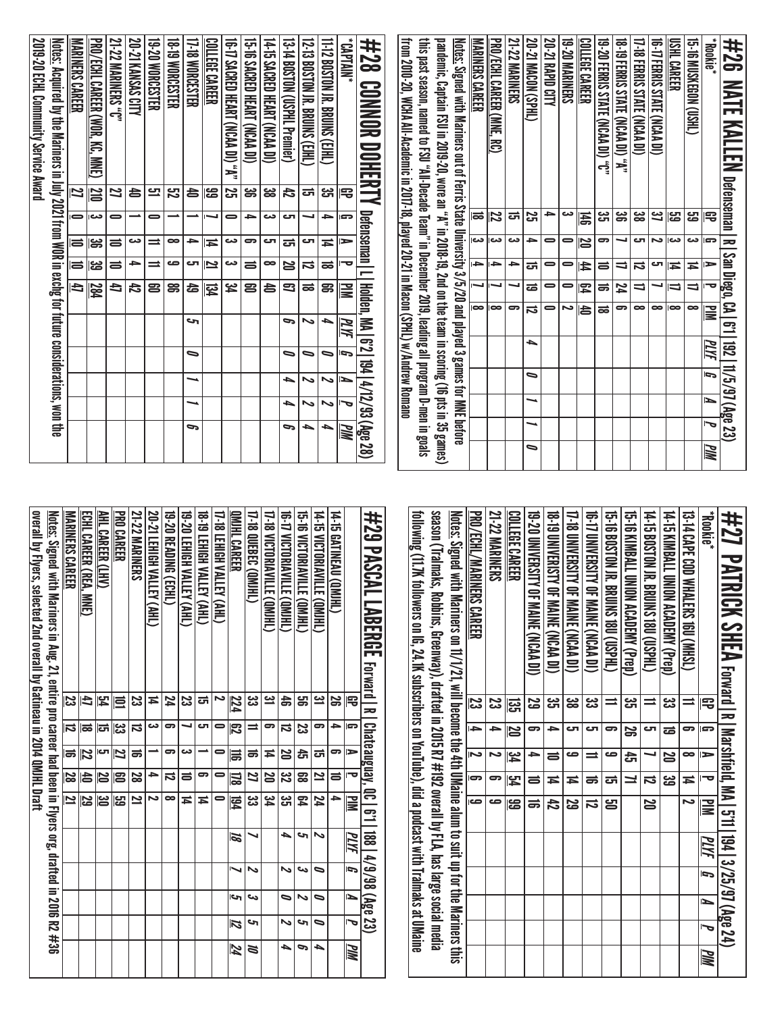| #26<br>NATE KALLEN                                                                                         | Defenseman   R   San Diego, CA   6'1   192   11/5/97 (Age 23 |                |                         |                          |                          |                |   |                        |     |           |
|------------------------------------------------------------------------------------------------------------|--------------------------------------------------------------|----------------|-------------------------|--------------------------|--------------------------|----------------|---|------------------------|-----|-----------|
| *Bookie*                                                                                                   | 宅                                                            | G              | ⋗                       | ᅮ                        | <b>NIM</b>               | <u>ИИ</u>      | G | ∍                      | Į   | <u>РМ</u> |
| 15-TO MUSKEGN (USHL)                                                                                       | 59                                                           | دى             | Ħ                       | $\overline{\phantom{0}}$ | $\infty$                 |                |   |                        |     |           |
| USHL CAREER                                                                                                | ပ္မွာ                                                        | دم             | Ħ                       | ⇒                        | $\overline{\phantom{a}}$ |                |   |                        |     |           |
| <b>16-17 FERRIS STATE</b><br>(ICAA DI)                                                                     | 3ì                                                           | ىم             | ٦ب                      |                          | $\bullet$                |                |   |                        |     |           |
| 17-18 FERRIS STATE (NCAA DI)                                                                               | జ                                                            | اک             | ನ                       | ゠                        | $\bullet$                |                |   |                        |     |           |
| <b>18-19 FERRIS STATE (NCAA DI) "A"</b>                                                                    | ၼ                                                            |                | ゠                       | 24                       | 9                        |                |   |                        |     |           |
| 19-20 FERRIS STATE (NCAA DI) "C"                                                                           | ಜ                                                            | ິ              | 5                       | ᇹ                        | ಹ                        |                |   |                        |     |           |
| COLLEGE CAREER                                                                                             | 冨                                                            | 20             | 4                       | 罕                        | 合                        |                |   |                        |     |           |
| 19-20 MARINERS                                                                                             | دى                                                           | 0              | $\blacksquare$          | 0                        | د                        |                |   |                        |     |           |
| 20-21 RAPID CITY                                                                                           | ᡨ                                                            | 0              | 0                       | 0                        | 0                        |                |   |                        |     |           |
| 20-21 MACON (SPHL)                                                                                         | 25                                                           | →              | ಕ                       | ಹ                        | $\vec{v}$                | ┶              | ∍ | ⊸                      | ⊸   | ∍         |
| <b>21-22 MARINERS</b>                                                                                      | ಕ                                                            | دى             | ᡨ                       |                          | 9                        |                |   |                        |     |           |
| <u>PRO/ECHL CAREER (MNE, RC)</u>                                                                           | $\overline{\mathbf{z}}$                                      | دم             | Ī                       |                          | $\overline{\phantom{a}}$ |                |   |                        |     |           |
| <u>MARINERS CAREER</u>                                                                                     | ಹ                                                            | دے             | →                       | u                        | $\overline{8}$           |                |   |                        |     |           |
| <u>Notes:</u> Signed with Mariners out of Ferris State University 3/5/20 and played 3 games for MNE before |                                                              |                |                         |                          |                          |                |   |                        |     |           |
| pandemic, Captain FSU in 2019-20, wore an "A" in 2008-19, 2nd on the team in scoring (16 pts in 35 games)  |                                                              |                |                         |                          |                          |                |   |                        |     |           |
| this past season, named to FSU "All-Decade Team" in December 2019, leading all program D-men in goals      |                                                              |                |                         |                          |                          |                |   |                        |     |           |
| from 2010-20, WCHA All-Academic in 2017-18, played 20-21 in Macon (SPHL) w/Andrew Romano                   |                                                              |                |                         |                          |                          |                |   |                        |     |           |
| #28<br><b>CONNOR DOHERT</b>                                                                                |                                                              | Defenseman   L |                         |                          | Holden, MA   6'2         |                |   | 194   4/12/93 (Age 28) |     |           |
| "NNI4VJ.                                                                                                   | 吊<br>Ģ                                                       | ►              | ᇰ                       | ΜZ                       | PLYF                     | $\overline{5}$ | ∍ | ত                      | PIM |           |
| 11-12 BOSTON JR. BRUINS (EJHL)<br>33<br>Tu                                                                 | ⇒                                                            | Ħ              | ಹ                       | ၼ                        | ┶                        | ∍              | ゝ | ∾                      | ┶   |           |
| 12-13 BOSTON JR. BRUNS (EJHL)<br>ਠਜੇ                                                                       | ┙                                                            | ٦              | ನ                       | ಹ                        | ゝ                        | ∍              | ゝ | 、                      | ▲   |           |
| 13-14 BOSTON (USPHL Premier)<br>42                                                                         | ى                                                            | ಪ              | N                       | 3                        | P                        | ∍              | ▲ | ▲                      | c   |           |
| 14-15 SACRED HEART (NCAA DI)<br><u>မ္မ</u>                                                                 | دے                                                           | اک             | $\bullet$               | 台                        |                          |                |   |                        |     |           |
| 15-16 SACRED HEART (NCAA DI)<br>ၼ                                                                          | ∍                                                            | 9              | $\equiv$                | 23                       |                          |                |   |                        |     |           |
| 16-17 SACRED HEART (NCAA DI) "A"<br>25                                                                     | 0                                                            | دى             | دى                      | ئع<br>4                  |                          |                |   |                        |     |           |
| <u>COLLEGE CAREER</u><br>န္မ                                                                               |                                                              | ≖              | $\overline{\mathbf{z}}$ | 容                        |                          |                |   |                        |     |           |
| 17-18 WORCESTER                                                                                            | 台                                                            | ᆋ              | C                       | 43                       | حہ                       | ∍              | ⊸ | ┙                      | G   |           |
| <b>18-19 WORCESTER</b><br>S2                                                                               |                                                              | $\bullet$      | ص                       | ຘ                        |                          |                |   |                        |     |           |
| 19-20 WORCESTER<br>므                                                                                       | 0                                                            | ≕              | ⋍                       | ຂ                        |                          |                |   |                        |     |           |
| 20-21 KANSAS CITY<br>台                                                                                     |                                                              | دى             | ᡨ                       | 47                       |                          |                |   |                        |     |           |
| 21-22 MARINERS "C"<br>27                                                                                   | 0                                                            | ᇹ              | ᇹ                       | €                        |                          |                |   |                        |     |           |
| <u>PRO/ECHL CAREER (WOR, KC, MNE)</u>                                                                      | <u>210</u><br>دے∥                                            | ౚ∥ౚ            | ≋⊫                      | <b>284</b>               |                          |                |   |                        |     |           |
| <u>MARINERS CAREER</u><br>2                                                                                | 0                                                            |                |                         | 47                       |                          |                |   |                        |     |           |
| <u>Notes:</u> Acquired by the Mariners in July 2021 from WOR in exchg for future considerations, won the   |                                                              |                |                         |                          |                          |                |   |                        |     |           |
| 2019-20 ECHL Community Service Award                                                                       |                                                              |                |                         |                          |                          |                |   |                        |     |           |

| <u>overall by Flyers, selected 2nd overall by Gatineau in 2014 QMJHL Draft</u><br><u>Notes:</u> Signed with Mariners in Aug. 21, entire pro career had been in Flyers org, drafted in 2016 R2 #36 | <b>MARINERS CAREER</b> | ECHL CAREER (REA,<br><b>MNE</b> | AHL CAREER (LHV) | <b>PRO CAREER</b> | <b>21-22 MARINERS</b> | 20-21 LEHIGH VALLEY (AHL) | 19-20 READING (ECHL) | OHN'S ATTIVA HOILEY (AHL) | <b>18-19 LEHIGH VALLEY (AHL)</b> | 17-18 LEHIGH VALLEY (AHL) | OMJHL CAREER | 17-18 QUEBEC (QMJHL) | 17-18 VICTORIAVILLE (QMJHL) | 16-17 VICTORIANILLE (QMJHL) | 15-16 VICTORIANILLE (OMIHL) | 14-15 VICTORIAVILLE (QMJHL) | 14-15 GATINEAU (QMJHL) |              | #29 PASCAL LABERGE<br><b>Forward R</b> | following (11.7K followers on IG, 24.1K subscribers on YouTube), did a podcast with Tralmaks at UMaine | season (Tralmaks, Robbins, Greenway), drafted in 2015 R7 #192 overall by FLA, has large social media | <u>Notes:</u> Signed with Mariners on fl/1/21, will become the 4th UMaine alum to suit up for the Mariners this | PRO/ECHL/MARINERS CAREER | <b>21-22 MARINERS</b> | COLLEGE CAREER          | 19-20 DNIVERSITY OF MAINE (NCAA DI) | 18-T9 UNIVERISTY OF MAINE (NCAA DI) | 17-18 UNIVERSITY OF MAINE (NCAA DI) | <b>10 INVERSILY OF MAINE (NCAA DI)</b> | 15-16 BOSTON JR. BRUINS 1800 (USPHL) | 15-16 XIMBALL QNON ACADEMY (Prep) | 14: 19 BOSTON N: BRUINS 1800 (USSHU) | 14-15 KIMBALL DNION ACADEMY (Pren) | 13-14 CAPE COD MATERS 160 (NHSL) | "Blookie" | #27<br>PATRICK SHEA rerward I x |
|---------------------------------------------------------------------------------------------------------------------------------------------------------------------------------------------------|------------------------|---------------------------------|------------------|-------------------|-----------------------|---------------------------|----------------------|---------------------------|----------------------------------|---------------------------|--------------|----------------------|-----------------------------|-----------------------------|-----------------------------|-----------------------------|------------------------|--------------|----------------------------------------|--------------------------------------------------------------------------------------------------------|------------------------------------------------------------------------------------------------------|-----------------------------------------------------------------------------------------------------------------|--------------------------|-----------------------|-------------------------|-------------------------------------|-------------------------------------|-------------------------------------|----------------------------------------|--------------------------------------|-----------------------------------|--------------------------------------|------------------------------------|----------------------------------|-----------|---------------------------------|
|                                                                                                                                                                                                   | င္မ                    | 4J                              | 54               | 巨                 | ಜ                     | Ħ                         | 74                   | 23                        | <u>ਟ</u>                         | ∾                         | 224          | یں<br>ما             | <u>يە</u>                   | 45                          | g                           | <u>یہ</u>                   | 29                     | 吊            |                                        |                                                                                                        |                                                                                                      |                                                                                                                 | 23                       | 23                    | ឌូ                      | 29                                  | ပ္ပ                                 | <u>ಜ</u>                            | జ                                      | $\equiv$                             | یج<br>آگ                          | $\equiv$                             | జ                                  | ⋍                                | 宅         |                                 |
|                                                                                                                                                                                                   | IJ                     | ಹ                               | ದ                | یع∥               | ನ                     | دى                        | 9                    | ┙                         | C                                | $\bullet$                 | 閃            | ≡                    | ဓာ                          | ನ                           | ಜ                           | 9                           | →                      | r            |                                        |                                                                                                        |                                                                                                      |                                                                                                                 | $\rightarrow$            | →                     | 12                      | ౚ                                   | )}                                  | ای                                  | ای                                     | ဓာ                                   | S                                 | Γک                                   | ಹ                                  | 5                                | P         |                                 |
|                                                                                                                                                                                                   | <b>le</b>              | 22                              | ات               | Z                 | ಹ                     |                           | 9                    | دى                        |                                  | 0                         | 局            | ಹ                    | 14                          | N                           | 슩                           | ದ                           | ဓာ                     | ►            |                                        |                                                                                                        |                                                                                                      |                                                                                                                 | 2                        | د                     | $\overline{\mathbf{r}}$ | →                                   | ᇹ                                   | ص                                   | $\equiv$                               | ص                                    | ෫                                 |                                      | N                                  | $\bullet$                        | ►         | Marshfield,                     |
|                                                                                                                                                                                                   | 28                     | 与                               | 20               | ၉၁                | 28                    | →                         | $\vec{a}$            | $\equiv$                  | ဓာ                               | 0                         | 図            | 27                   | 20                          | 32                          | 89                          | 21                          | $\equiv$               | ত            |                                        |                                                                                                        |                                                                                                      |                                                                                                                 | 9                        | ౼                     | 멍                       | ᇹ                                   | Ħ                                   | ≖                                   | ಹ                                      | ਯ                                    | ⊒                                 | ನ                                    | జ                                  | Ħ                                | ᇰ         |                                 |
|                                                                                                                                                                                                   | Ľ                      | 29                              | မြိ              | <b>29</b>         | 21                    | ىم                        | $\infty$             | $\overline{4}$            | $\sharp$                         | 0                         | 园            | జ                    | پو<br>4                     | دى<br>آ                     | 54                          | 24                          | ᡨ                      | $\mathbf{u}$ | <b>Chateauguay, QC   6'1</b>           |                                                                                                        |                                                                                                      |                                                                                                                 | ص                        | ص                     | န္မ                     | ᇹ                                   | 42                                  | 29                                  | ವ                                      | 5                                    |                                   | 20                                   |                                    | د                                | $\geq$    | <b>NAI 511</b>                  |
|                                                                                                                                                                                                   |                        |                                 |                  |                   |                       |                           |                      |                           |                                  |                           | 12           |                      |                             | ┶                           | c                           | N                           |                        | PLYF         |                                        |                                                                                                        |                                                                                                      |                                                                                                                 |                          |                       |                         |                                     |                                     |                                     |                                        |                                      |                                   |                                      |                                    |                                  | PLYF      | $\frac{194}{ }$                 |
|                                                                                                                                                                                                   |                        |                                 |                  |                   |                       |                           |                      |                           |                                  |                           | ↘            | N                    |                             | ∾                           | ص                           | ⋼                           |                        | G            | 188   4/9/98 (Age                      |                                                                                                        |                                                                                                      |                                                                                                                 |                          |                       |                         |                                     |                                     |                                     |                                        |                                      |                                   |                                      |                                    |                                  | G         | 3/25/97 (Age 24)                |
|                                                                                                                                                                                                   |                        |                                 |                  |                   |                       |                           |                      |                           |                                  |                           | c            | دى                   |                             | $\bullet$                   | N                           | 0                           |                        | ∍            |                                        |                                                                                                        |                                                                                                      |                                                                                                                 |                          |                       |                         |                                     |                                     |                                     |                                        |                                      |                                   |                                      |                                    |                                  | ►         |                                 |
|                                                                                                                                                                                                   |                        |                                 |                  |                   |                       |                           |                      |                           |                                  |                           | 12           | c                    |                             | ∾                           | حە                          | ุ                           |                        | ত            | <b>SS</b>                              |                                                                                                        |                                                                                                      |                                                                                                                 |                          |                       |                         |                                     |                                     |                                     |                                        |                                      |                                   |                                      |                                    |                                  |           |                                 |
|                                                                                                                                                                                                   |                        |                                 |                  |                   |                       |                           |                      |                           |                                  |                           | 24           | ă                    |                             | ┶                           | G                           | ▲                           |                        | PIM          |                                        |                                                                                                        |                                                                                                      |                                                                                                                 |                          |                       |                         |                                     |                                     |                                     |                                        |                                      |                                   |                                      |                                    |                                  | <u>РМ</u> |                                 |

| #29 PASCAL LABERGE Ferant River Present River 1 188 147 388 23                                                  |           |          |                |                         |                         |          |                |     |    |             |
|-----------------------------------------------------------------------------------------------------------------|-----------|----------|----------------|-------------------------|-------------------------|----------|----------------|-----|----|-------------|
|                                                                                                                 | 导         | G        | ь              | ᅮ                       | <b>NIN</b>              | PLYF     | $\overline{5}$ | N   | J  | <b>PIM</b>  |
| 14-15 GATINEAU (QMHL)                                                                                           | S         | ≏        | ິ              | ≓                       | ∍                       |          |                |     |    |             |
| 14-15 VICTORIAVILLE (OMJHL)                                                                                     | یئ        | 5        | ದ              | 2                       | 74                      | N        | ∍              | ∍   | っ  | ┶           |
| 15-16 NOTORIANILE (GM)HL)                                                                                       | ൠ         | ಜ        | đ              | ౙ                       | 54                      | حە       | دى             | ∾   | s  | P           |
| <b>19-17 VICTORIANILE (QMIHL)</b>                                                                               | å         | ನ        | 25             | ಜ                       | دى<br>آت                | ┶        | N              | ∍   | N  | ь           |
| 17-18 VICTORIAVILLE (QMJHL)                                                                                     | یے        | 5        | ≖              | 20                      | ید<br>4                 |          |                |     |    |             |
| <b>17-18 QUEBEC (QMHL)</b>                                                                                      | دى<br>د   | ≐        | ಹ              | 2                       | دى<br>دى                |          | N              | دى  | s  | $\tilde{a}$ |
| QMJHL CAREER                                                                                                    | 224       | 閃        | Ħ              | 178                     | <b>194</b>              | <b>S</b> |                | احى | 12 | 74          |
| <b>17-18 LEHIGH VALLEY (AHL)</b>                                                                                | د         |          | 0              |                         |                         |          |                |     |    |             |
| 18-19 LEHIGH VALLEY (AHL)                                                                                       | ದ         | ౮        |                | 5                       | Ħ                       |          |                |     |    |             |
| 19-20 LEHIGH VALLEY (AHL)                                                                                       | ಜ         |          | دى             | ᇹ                       | $\sharp$                |          |                |     |    |             |
| 19-20 READING (ECHL)                                                                                            | 74        | 5        | ິ              | ವ                       | ∞                       |          |                |     |    |             |
| 20-21 LEHIGH VALLEY (AHL)                                                                                       | Ħ         | دە       |                | →                       | N                       |          |                |     |    |             |
| 21-22 MARINERS                                                                                                  | <u>یع</u> | ನ        | ಹ              | 28                      | $\overline{a}$          |          |                |     |    |             |
| <b>PRO CAREER</b>                                                                                               | ≣         | یں<br>ما | Z              | ຊ                       | م<br>ما                 |          |                |     |    |             |
| AHL CAREER (LHV)                                                                                                | 54        | ದ        | <mark>س</mark> | 12                      | ఴ                       |          |                |     |    |             |
| ECHL CAREER (REA, MH)                                                                                           | 4         | ಹ        | 22             | 10                      | S                       |          |                |     |    |             |
| MARINERS CAREER                                                                                                 | ပ္ပ       | 局        | 15             | $\overline{\mathbf{8}}$ | $\overline{\mathbf{z}}$ |          |                |     |    |             |
| <u>Notes:</u> Signed with Mariners in Aug. 21, entire pro career had been in Flyers org, drafted in 2016 R2 #36 |           |          |                |                         |                         |          |                |     |    |             |
| overall by Flyers, selected 2nd overall by Gatineau in 2014 QMJHL Draft                                         |           |          |                |                         |                         |          |                |     |    |             |
|                                                                                                                 |           |          |                |                         |                         |          |                |     |    |             |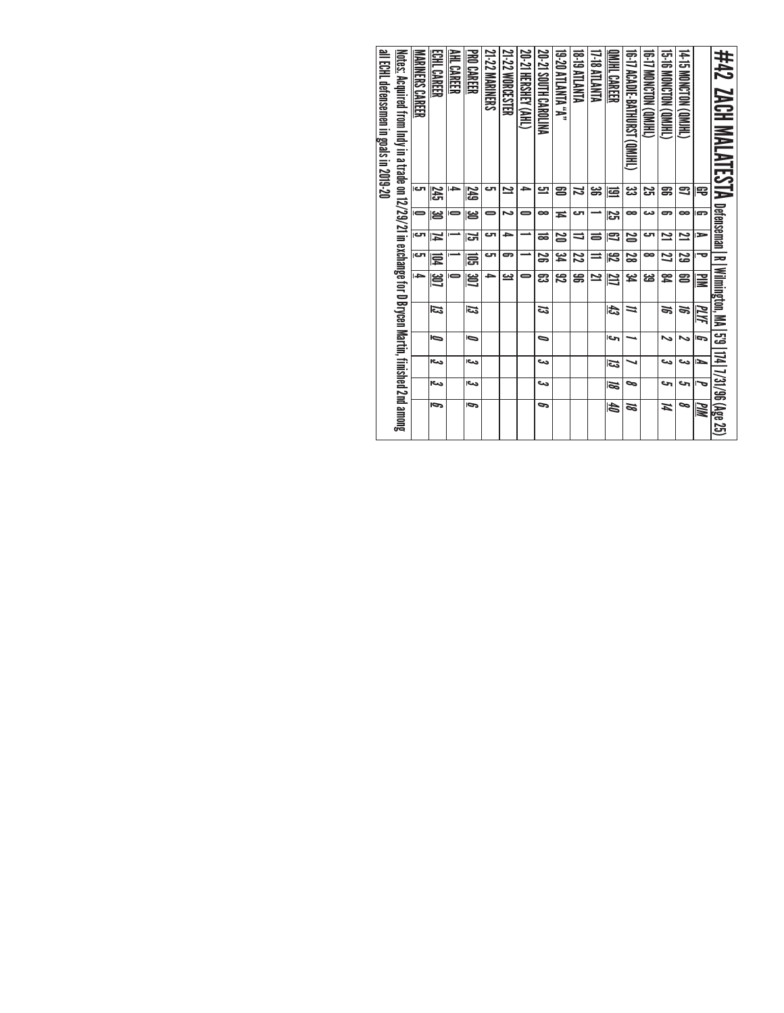| 21-22 MARINERS<br>21-22 WORCESTER<br><u>Notes:</u> Acquired from Indy in a trade on 12/29/21 in exchange for D Brycen Martin, finished 2nd among<br>ECHL CAREER<br>AHL CAREER<br><b>PRO CAREER</b><br><b>NARINERS CAREER</b><br>ای<br>⇒<br>ى<br>2<br>窋<br>249<br>မ္မ<br>ఆ<br>د<br>0<br>0<br>cл<br>SЧ<br>دت<br>د<br>И<br>احت<br>لت<br>5<br>忌<br>闫<br>l di<br>3D<br>邕<br>-<br>چت<br>డ<br>ದ<br>⋼<br>⋼<br>احت<br>احت<br>دما<br>دے<br>b<br>b | 20-21 SOUTH CAROLINA<br>15-16 MONCTON (QMIHL)<br>14-15 MONCTON (QMJHL)<br>"A" ATIANTA 02-81<br>#42 ZACH MALATESTA Defense<br><b>ATIANLIA 81-81</b><br>17-18 ATLANTA<br>GRIND NOTCLON (ORHL)<br>00-17 ACADIL-BAIHOKAI(QMYLI)<br><b>INDUCARER</b> | چي<br>ౢౢ<br>æ<br>음<br>ឩ<br>ఇ<br>ನ<br>宅<br>弖 | 52<br>$\bullet$<br>دے<br>∞<br>∞<br>ى<br>5<br>s<br>≖ | دت<br>2<br>ఇ<br>25<br>2<br>∍<br>25<br>ಹ<br>ᇹ<br>⇒ | S<br>2g<br>Z<br>£م<br>22<br>$\overline{\mathbb{z}}$<br>∞<br>25<br>o<br>⇒ | R   Wilmington, MA<br>يو<br>æ<br>20<br>జ<br>罕<br>ఔ<br>ඝ<br>≃<br>23<br>₩ | E<br>ದ<br>æ<br>ಇ<br>⋍<br>ΜИ | G<br>ات<br>∾<br>∍<br>∾ | دے<br>دے<br>دے<br>►<br>ವ | 5'9   174   7/31/96 (Age 25)<br>دے<br>حت<br>حە<br>7e<br>ञ | ∞<br>c<br>th<br>И<br>ಹ<br>Шd |
|-----------------------------------------------------------------------------------------------------------------------------------------------------------------------------------------------------------------------------------------------------------------------------------------------------------------------------------------------------------------------------------------------------------------------------------------|-------------------------------------------------------------------------------------------------------------------------------------------------------------------------------------------------------------------------------------------------|---------------------------------------------|-----------------------------------------------------|---------------------------------------------------|--------------------------------------------------------------------------|-------------------------------------------------------------------------|-----------------------------|------------------------|--------------------------|-----------------------------------------------------------|------------------------------|
| 20-21 HERSHEY (AHL)<br>)}<br>므<br>0<br>0                                                                                                                                                                                                                                                                                                                                                                                                |                                                                                                                                                                                                                                                 |                                             |                                                     |                                                   |                                                                          |                                                                         |                             |                        |                          |                                                           |                              |
|                                                                                                                                                                                                                                                                                                                                                                                                                                         |                                                                                                                                                                                                                                                 |                                             |                                                     |                                                   |                                                                          |                                                                         |                             |                        |                          |                                                           |                              |
|                                                                                                                                                                                                                                                                                                                                                                                                                                         |                                                                                                                                                                                                                                                 |                                             |                                                     |                                                   |                                                                          |                                                                         |                             |                        |                          |                                                           |                              |
|                                                                                                                                                                                                                                                                                                                                                                                                                                         |                                                                                                                                                                                                                                                 |                                             |                                                     |                                                   |                                                                          |                                                                         |                             |                        |                          |                                                           |                              |
|                                                                                                                                                                                                                                                                                                                                                                                                                                         |                                                                                                                                                                                                                                                 |                                             |                                                     |                                                   |                                                                          |                                                                         |                             |                        |                          |                                                           |                              |
|                                                                                                                                                                                                                                                                                                                                                                                                                                         |                                                                                                                                                                                                                                                 |                                             |                                                     |                                                   |                                                                          |                                                                         |                             |                        |                          |                                                           |                              |
|                                                                                                                                                                                                                                                                                                                                                                                                                                         |                                                                                                                                                                                                                                                 |                                             |                                                     |                                                   |                                                                          |                                                                         |                             |                        |                          |                                                           |                              |
|                                                                                                                                                                                                                                                                                                                                                                                                                                         |                                                                                                                                                                                                                                                 |                                             |                                                     |                                                   |                                                                          |                                                                         |                             |                        |                          |                                                           |                              |